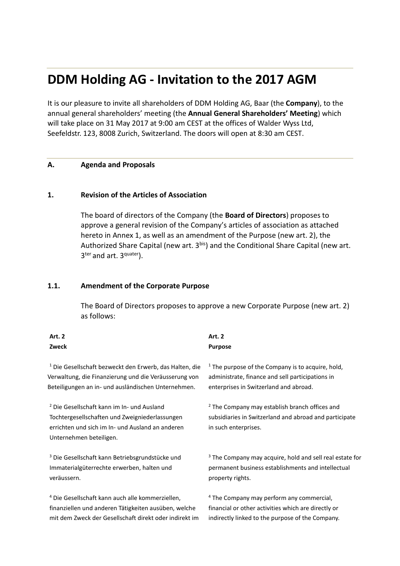# **DDM Holding AG - Invitation to the 2017 AGM**

It is our pleasure to invite all shareholders of DDM Holding AG, Baar (the **Company**), to the annual general shareholders' meeting (the **Annual General Shareholders' Meeting**) which will take place on 31 May 2017 at 9:00 am CEST at the offices of Walder Wyss Ltd, Seefeldstr. 123, 8008 Zurich, Switzerland. The doors will open at 8:30 am CEST.

#### **A. Agenda and Proposals**

#### **1. Revision of the Articles of Association**

The board of directors of the Company (the **Board of Directors**) proposes to approve a general revision of the Company's articles of association as attached hereto in Annex 1, as well as an amendment of the Purpose (new art. 2), the Authorized Share Capital (new art. 3bis) and the Conditional Share Capital (new art. 3ter and art. 3<sup>quater</sup>).

#### **1.1. Amendment of the Corporate Purpose**

The Board of Directors proposes to approve a new Corporate Purpose (new art. 2) as follows:

# **Art. 2 Zweck Art. 2 Purpose** <sup>1</sup> Die Gesellschaft bezweckt den Erwerb, das Halten, die Verwaltung, die Finanzierung und die Veräusserung von Beteiligungen an in- und ausländischen Unternehmen. <sup>2</sup> Die Gesellschaft kann im In- und Ausland

Tochtergesellschaften und Zweigniederlassungen errichten und sich im In- und Ausland an anderen Unternehmen beteiligen.

<sup>3</sup> Die Gesellschaft kann Betriebsgrundstücke und Immaterialgüterrechte erwerben, halten und veräussern.

<sup>4</sup> Die Gesellschaft kann auch alle kommerziellen, finanziellen und anderen Tätigkeiten ausüben, welche mit dem Zweck der Gesellschaft direkt oder indirekt im  $1$  The purpose of the Company is to acquire, hold, administrate, finance and sell participations in enterprises in Switzerland and abroad.

<sup>2</sup> The Company may establish branch offices and subsidiaries in Switzerland and abroad and participate in such enterprises.

 $3$  The Company may acquire, hold and sell real estate for permanent business establishments and intellectual property rights.

<sup>4</sup> The Company may perform any commercial, financial or other activities which are directly or indirectly linked to the purpose of the Company.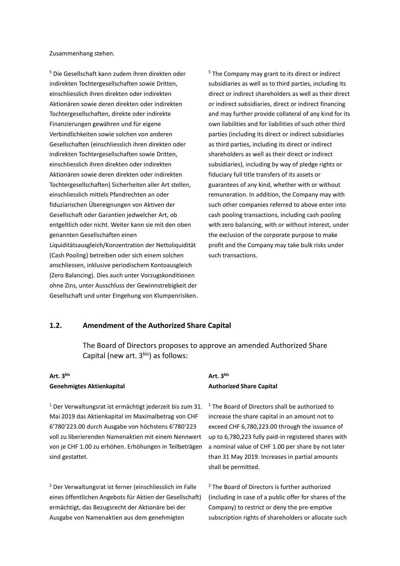Zusammenhang stehen.

<sup>5</sup> Die Gesellschaft kann zudem ihren direkten oder indirekten Tochtergesellschaften sowie Dritten, einschliesslich ihren direkten oder indirekten Aktionären sowie deren direkten oder indirekten Tochtergesellschaften, direkte oder indirekte Finanzierungen gewähren und für eigene Verbindlichkeiten sowie solchen von anderen Gesellschaften (einschliesslich ihren direkten oder indirekten Tochtergesellschaften sowie Dritten, einschliesslich ihren direkten oder indirekten Aktionären sowie deren direkten oder indirekten Tochtergesellschaften) Sicherheiten aller Art stellen, einschliesslich mittels Pfandrechten an oder fiduziarischen Übereignungen von Aktiven der Gesellschaft oder Garantien jedwelcher Art, ob entgeltlich oder nicht. Weiter kann sie mit den oben genannten Gesellschaften einen Liquiditätsausgleich/Konzentration der Nettoliquidität (Cash Pooling) betreiben oder sich einem solchen anschliessen, inklusive periodischem Kontoausgleich (Zero Balancing). Dies auch unter Vorzugskonditionen

ohne Zins, unter Ausschluss der Gewinnstrebigkeit der Gesellschaft und unter Eingehung von Klumpenrisiken. <sup>5</sup> The Company may grant to its direct or indirect subsidiaries as well as to third parties, including its direct or indirect shareholders as well as their direct or indirect subsidiaries, direct or indirect financing and may further provide collateral of any kind for its own liabilities and for liabilities of such other third parties (including its direct or indirect subsidiaries as third parties, including its direct or indirect shareholders as well as their direct or indirect subsidiaries), including by way of pledge rights or fiduciary full title transfers of its assets or guarantees of any kind, whether with or without remuneration. In addition, the Company may with such other companies referred to above enter into cash pooling transactions, including cash pooling with zero balancing, with or without interest, under the exclusion of the corporate purpose to make profit and the Company may take bulk risks under such transactions.

#### **1.2. Amendment of the Authorized Share Capital**

The Board of Directors proposes to approve an amended Authorized Share Capital (new art.  $3^{bis}$ ) as follows:

#### **Art. 3bis Genehmigtes Aktienkapital**

 $1$  Der Verwaltungsrat ist ermächtigt jederzeit bis zum 31. Mai 2019 das Aktienkapital im Maximalbetrag von CHF 6'780'223.00 durch Ausgabe von höchstens 6'780'223 voll zu liberierenden Namenaktien mit einem Nennwert von je CHF 1.00 zu erhöhen. Erhöhungen in Teilbeträgen sind gestattet.

<sup>2</sup> Der Verwaltungsrat ist ferner (einschliesslich im Falle eines öffentlichen Angebots für Aktien der Gesellschaft) ermächtigt, das Bezugsrecht der Aktionäre bei der Ausgabe von Namenaktien aus dem genehmigten

#### **Art. 3bis Authorized Share Capital**

 $1$  The Board of Directors shall be authorized to increase the share capital in an amount not to exceed CHF 6,780,223.00 through the issuance of up to 6,780,223 fully paid-in registered shares with a nominal value of CHF 1.00 per share by not later than 31 May 2019. Increases in partial amounts shall be permitted.

<sup>2</sup> The Board of Directors is further authorized (including in case of a public offer for shares of the Company) to restrict or deny the pre-emptive subscription rights of shareholders or allocate such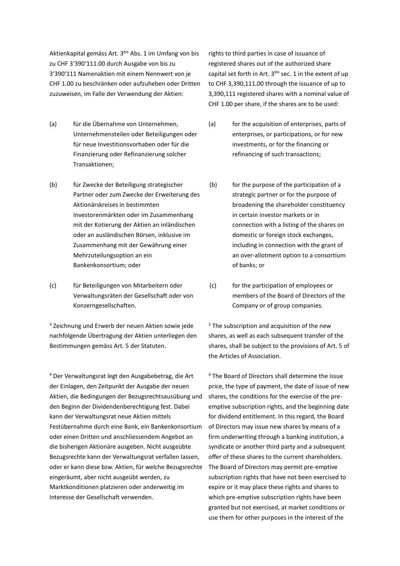Aktienkapital gemäss Art. 3bis Abs. 1 im Umfang von bis zu CHF 3'390'111.00 durch Ausgabe von bis zu 3'390'111 Namenaktien mit einem Nennwert von je CHF 1.00 zu beschränken oder aufzuheben oder Dritten zuzuweisen, im Falle der Verwendung der Aktien:

- (a) für die Übernahme von Unternehmen, Unternehmensteilen oder Beteiligungen oder für neue Investitionsvorhaben oder für die Finanzierung oder Refinanzierung solcher Transaktionen;
- (b) für Zwecke der Beteiligung strategischer Partner oder zum Zwecke der Erweiterung des Aktionärskreises in bestimmten Investorenmärkten oder im Zusammenhang mit der Kotierung der Aktien an inländischen oder an ausländischen Börsen, inklusive im Zusammenhang mit der Gewährung einer Mehrzuteilungsoption an ein Bankenkonsortium; oder
- (c) für Beteiligungen von Mitarbeitern oder Verwaltungsräten der Gesellschaft oder von Konzerngesellschaften.

<sup>3</sup> Zeichnung und Erwerb der neuen Aktien sowie jede nachfolgende Übertragung der Aktien unterliegen den Bestimmungen gemäss Art. 5 der Statuten.

<sup>4</sup> Der Verwaltungsrat legt den Ausgabebetrag, die Art der Einlagen, den Zeitpunkt der Ausgabe der neuen Aktien, die Bedingungen der Bezugsrechtsausübung und den Beginn der Dividendenberechtigung fest. Dabei kann der Verwaltungsrat neue Aktien mittels Festübernahme durch eine Bank, ein Bankenkonsortium oder einen Dritten und anschliessendem Angebot an die bisherigen Aktionäre ausgeben. Nicht ausgeübte Bezugsrechte kann der Verwaltungsrat verfallen lassen, oder er kann diese bzw. Aktien, für welche Bezugsrechte eingeräumt, aber nicht ausgeübt werden, zu Marktkonditionen platzieren oder anderweitig im Interesse der Gesellschaft verwenden.

rights to third parties in case of issuance of registered shares out of the authorized share capital set forth in Art.  $3^{bis}$  sec. 1 in the extent of up to CHF 3,390,111.00 through the issuance of up to 3,390,111 registered shares with a nominal value of CHF 1.00 per share, if the shares are to be used:

- (a) for the acquisition of enterprises, parts of enterprises, or participations, or for new investments, or for the financing or refinancing of such transactions;
- (b) for the purpose of the participation of a strategic partner or for the purpose of broadening the shareholder constituency in certain investor markets or in connection with a listing of the shares on domestic or foreign stock exchanges, including in connection with the grant of an over-allotment option to a consortium of banks; or
- (c) for the participation of employees or members of the Board of Directors of the Company or of group companies.

 $3$  The subscription and acquisition of the new shares, as well as each subsequent transfer of the shares, shall be subject to the provisions of Art. 5 of the Articles of Association.

<sup>4</sup> The Board of Directors shall determine the issue price, the type of payment, the date of issue of new shares, the conditions for the exercise of the preemptive subscription rights, and the beginning date for dividend entitlement. In this regard, the Board of Directors may issue new shares by means of a firm underwriting through a banking institution, a syndicate or another third party and a subsequent offer of these shares to the current shareholders. The Board of Directors may permit pre-emptive subscription rights that have not been exercised to expire or it may place these rights and shares to which pre-emptive subscription rights have been granted but not exercised, at market conditions or use them for other purposes in the interest of the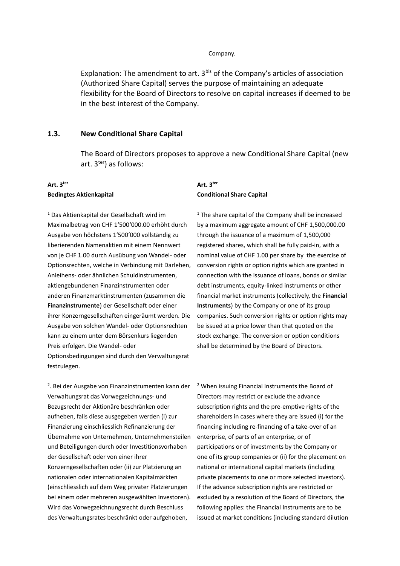#### Company.

Explanation: The amendment to art. 3<sup>bis</sup> of the Company's articles of association (Authorized Share Capital) serves the purpose of maintaining an adequate flexibility for the Board of Directors to resolve on capital increases if deemed to be in the best interest of the Company.

#### **1.3. New Conditional Share Capital**

The Board of Directors proposes to approve a new Conditional Share Capital (new art. 3ter) as follows:

#### **Art. 3ter Bedingtes Aktienkapital**

<sup>1</sup> Das Aktienkapital der Gesellschaft wird im Maximalbetrag von CHF 1'500'000.00 erhöht durch Ausgabe von höchstens 1'500'000 vollständig zu liberierenden Namenaktien mit einem Nennwert von je CHF 1.00 durch Ausübung von Wandel- oder Optionsrechten, welche in Verbindung mit Darlehen, Anleihens- oder ähnlichen Schuldinstrumenten, aktiengebundenen Finanzinstrumenten oder anderen Finanzmarktinstrumenten (zusammen die **Finanzinstrumente**) der Gesellschaft oder einer ihrer Konzerngesellschaften eingeräumt werden. Die Ausgabe von solchen Wandel- oder Optionsrechten kann zu einem unter dem Börsenkurs liegenden Preis erfolgen. Die Wandel- oder Optionsbedingungen sind durch den Verwaltungsrat festzulegen.

#### **Art. 3ter Conditional Share Capital**

 $1$  The share capital of the Company shall be increased by a maximum aggregate amount of CHF 1,500,000.00 through the issuance of a maximum of 1,500,000 registered shares, which shall be fully paid-in, with a nominal value of CHF 1.00 per share by the exercise of conversion rights or option rights which are granted in connection with the issuance of loans, bonds or similar debt instruments, equity-linked instruments or other financial market instruments (collectively, the **Financial Instruments**) by the Company or one of its group companies. Such conversion rights or option rights may be issued at a price lower than that quoted on the stock exchange. The conversion or option conditions shall be determined by the Board of Directors.

<sup>2</sup>. Bei der Ausgabe von Finanzinstrumenten kann der Verwaltungsrat das Vorwegzeichnungs- und Bezugsrecht der Aktionäre beschränken oder aufheben, falls diese ausgegeben werden (i) zur Finanzierung einschliesslich Refinanzierung der Übernahme von Unternehmen, Unternehmensteilen und Beteiligungen durch oder Investitionsvorhaben der Gesellschaft oder von einer ihrer Konzerngesellschaften oder (ii) zur Platzierung an nationalen oder internationalen Kapitalmärkten (einschliesslich auf dem Weg privater Platzierungen bei einem oder mehreren ausgewählten Investoren). Wird das Vorwegzeichnungsrecht durch Beschluss des Verwaltungsrates beschränkt oder aufgehoben,

<sup>2</sup> When issuing Financial Instruments the Board of Directors may restrict or exclude the advance subscription rights and the pre-emptive rights of the shareholders in cases where they are issued (i) for the financing including re-financing of a take-over of an enterprise, of parts of an enterprise, or of participations or of investments by the Company or one of its group companies or (ii) for the placement on national or international capital markets (including private placements to one or more selected investors). If the advance subscription rights are restricted or excluded by a resolution of the Board of Directors, the following applies: the Financial Instruments are to be issued at market conditions (including standard dilution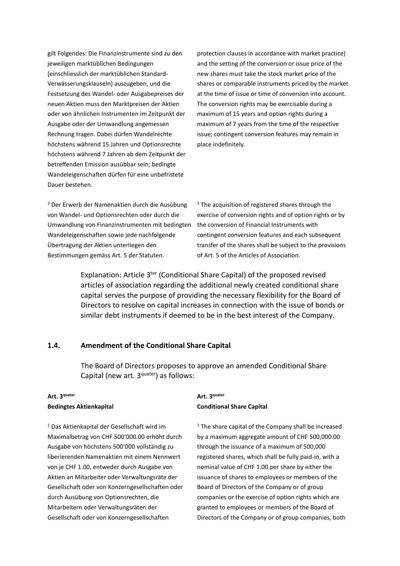gilt Folgendes: Die Finanzinstrumente sind zu den jeweiligen marktüblichen Bedingungen (einschliesslich der marktüblichen Standard-Verwässerungsklauseln) auszugeben, und die Festsetzung des Wandel- oder Ausgabepreises der neuen Aktien muss den Marktpreisen der Aktien oder von ähnlichen Instrumenten im Zeitpunkt der Ausgabe oder der Umwandlung angemessen Rechnung tragen. Dabei dürfen Wandelrechte höchstens während 15 Jahren und Optionsrechte höchstens während 7 Jahren ab dem Zeitpunkt der betreffenden Emission ausübbar sein; bedingte Wandeleigenschaften dürfen für eine unbefristete Dauer bestehen.

protection clauses in accordance with market practice) and the setting of the conversion or issue price of the new shares must take the stock market price of the shares or comparable instruments priced by the market at the time of issue or time of conversion into account. The conversion rights may be exercisable during a maximum of 15 years and option rights during a maximum of 7 years from the time of the respective issue; contingent conversion features may remain in place indefinitely.

<sup>3</sup> Der Erwerb der Namenaktien durch die Ausübung von Wandel- und Optionsrechten oder durch die Umwandlung von Finanzinstrumenten mit bedingten Wandeleigenschaften sowie jede nachfolgende Übertragung der Aktien unterliegen den Bestimmungen gemäss Art. 5 der Statuten.

<sup>3</sup> The acquisition of registered shares through the exercise of conversion rights and of option rights or by the conversion of Financial Instruments with contingent conversion features and each subsequent transfer of the shares shall be subject to the provisions of Art. 5 of the Articles of Association.

Explanation: Article 3<sup>ter</sup> (Conditional Share Capital) of the proposed revised articles of association regarding the additional newly created conditional share capital serves the purpose of providing the necessary flexibility for the Board of Directors to resolve on capital increases in connection with the issue of bonds or similar debt instruments if deemed to be in the best interest of the Company.

#### **1.4. Amendment of the Conditional Share Capital**

The Board of Directors proposes to approve an amended Conditional Share Capital (new art. 3<sup>quater</sup>) as follows:

#### **Art. 3quater Bedingtes Aktienkapital**

<sup>1</sup> Das Aktienkapital der Gesellschaft wird im Maximalbetrag von CHF 500'000.00 erhöht durch Ausgabe von höchstens 500'000 vollständig zu liberierenden Namenaktien mit einem Nennwert von je CHF 1.00, entweder durch Ausgabe von Aktien an Mitarbeiter oder Verwaltungsräte der Gesellschaft oder von Konzerngesellschaften oder durch Ausübung von Optionsrechten, die Mitarbeitern oder Verwaltungsräten der Gesellschaft oder von Konzerngesellschaften

#### **Art. 3quater Conditional Share Capital**

 $1$  The share capital of the Company shall be increased by a maximum aggregate amount of CHF 500,000.00 through the issuance of a maximum of 500,000 registered shares, which shall be fully paid-in, with a nominal value of CHF 1.00 per share by either the issuance of shares to employees or members of the Board of Directors of the Company or of group companies or the exercise of option rights which are granted to employees or members of the Board of Directors of the Company or of group companies, both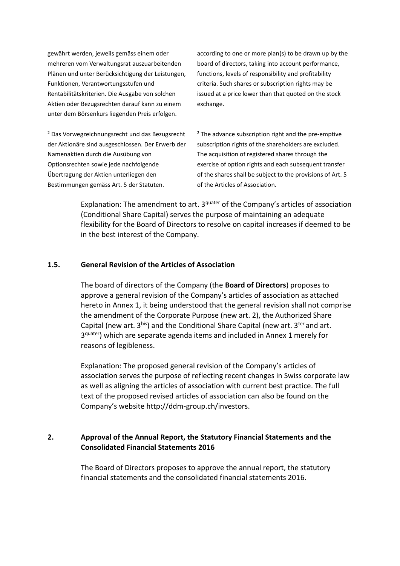gewährt werden, jeweils gemäss einem oder mehreren vom Verwaltungsrat auszuarbeitenden Plänen und unter Berücksichtigung der Leistungen, Funktionen, Verantwortungsstufen und Rentabilitätskriterien. Die Ausgabe von solchen Aktien oder Bezugsrechten darauf kann zu einem unter dem Börsenkurs liegenden Preis erfolgen.

<sup>2</sup> Das Vorwegzeichnungsrecht und das Bezugsrecht der Aktionäre sind ausgeschlossen. Der Erwerb der Namenaktien durch die Ausübung von Optionsrechten sowie jede nachfolgende Übertragung der Aktien unterliegen den Bestimmungen gemäss Art. 5 der Statuten.

according to one or more plan(s) to be drawn up by the board of directors, taking into account performance, functions, levels of responsibility and profitability criteria. Such shares or subscription rights may be issued at a price lower than that quoted on the stock exchange.

 $2$  The advance subscription right and the pre-emptive subscription rights of the shareholders are excluded. The acquisition of registered shares through the exercise of option rights and each subsequent transfer of the shares shall be subject to the provisions of Art. 5 of the Articles of Association.

Explanation: The amendment to art. 3<sup>quater</sup> of the Company's articles of association (Conditional Share Capital) serves the purpose of maintaining an adequate flexibility for the Board of Directors to resolve on capital increases if deemed to be in the best interest of the Company.

#### **1.5. General Revision of the Articles of Association**

The board of directors of the Company (the **Board of Directors**) proposes to approve a general revision of the Company's articles of association as attached hereto in Annex 1, it being understood that the general revision shall not comprise the amendment of the Corporate Purpose (new art. 2), the Authorized Share Capital (new art.  $3^{bis}$ ) and the Conditional Share Capital (new art.  $3^{ter}$  and art. 3<sup>quater</sup>) which are separate agenda items and included in Annex 1 merely for reasons of legibleness.

Explanation: The proposed general revision of the Company's articles of association serves the purpose of reflecting recent changes in Swiss corporate law as well as aligning the articles of association with current best practice. The full text of the proposed revised articles of association can also be found on the Company's website http://ddm-group.ch/investors.

# **2. Approval of the Annual Report, the Statutory Financial Statements and the Consolidated Financial Statements 2016**

The Board of Directors proposes to approve the annual report, the statutory financial statements and the consolidated financial statements 2016.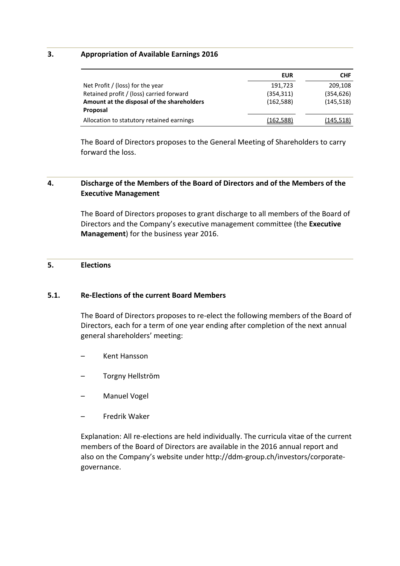#### **3. Appropriation of Available Earnings 2016**

|                                            | <b>EUR</b> | <b>CHF</b> |
|--------------------------------------------|------------|------------|
| Net Profit / (loss) for the year           | 191,723    | 209,108    |
| Retained profit / (loss) carried forward   | (354, 311) | (354, 626) |
| Amount at the disposal of the shareholders | (162, 588) | (145, 518) |
| Proposal                                   |            |            |
| Allocation to statutory retained earnings  | (162,588)  | (145, 518) |

The Board of Directors proposes to the General Meeting of Shareholders to carry forward the loss.

#### **4. Discharge of the Members of the Board of Directors and of the Members of the Executive Management**

The Board of Directors proposes to grant discharge to all members of the Board of Directors and the Company's executive management committee (the **Executive Management**) for the business year 2016.

#### **5. Elections**

#### **5.1. Re-Elections of the current Board Members**

The Board of Directors proposes to re-elect the following members of the Board of Directors, each for a term of one year ending after completion of the next annual general shareholders' meeting:

- Kent Hansson
- Torgny Hellström
- Manuel Vogel
- Fredrik Waker

Explanation: All re-elections are held individually. The curricula vitae of the current members of the Board of Directors are available in the 2016 annual report and also on the Company's website under http://ddm-group.ch/investors/corporategovernance.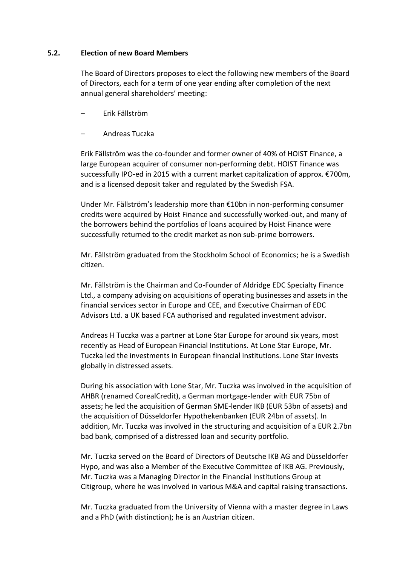#### **5.2. Election of new Board Members**

The Board of Directors proposes to elect the following new members of the Board of Directors, each for a term of one year ending after completion of the next annual general shareholders' meeting:

- Erik Fällström
- Andreas Tuczka

Erik Fällström was the co-founder and former owner of 40% of HOIST Finance, a large European acquirer of consumer non-performing debt. HOIST Finance was successfully IPO-ed in 2015 with a current market capitalization of approx. €700m, and is a licensed deposit taker and regulated by the Swedish FSA.

Under Mr. Fällström's leadership more than €10bn in non-performing consumer credits were acquired by Hoist Finance and successfully worked-out, and many of the borrowers behind the portfolios of loans acquired by Hoist Finance were successfully returned to the credit market as non sub-prime borrowers.

Mr. Fällström graduated from the Stockholm School of Economics; he is a Swedish citizen.

Mr. Fällström is the Chairman and Co-Founder of Aldridge EDC Specialty Finance Ltd., a company advising on acquisitions of operating businesses and assets in the financial services sector in Europe and CEE, and Executive Chairman of EDC Advisors Ltd. a UK based FCA authorised and regulated investment advisor.

Andreas H Tuczka was a partner at Lone Star Europe for around six years, most recently as Head of European Financial Institutions. At Lone Star Europe, Mr. Tuczka led the investments in European financial institutions. Lone Star invests globally in distressed assets.

During his association with Lone Star, Mr. Tuczka was involved in the acquisition of AHBR (renamed CorealCredit), a German mortgage-lender with EUR 75bn of assets; he led the acquisition of German SME-lender IKB (EUR 53bn of assets) and the acquisition of Düsseldorfer Hypothekenbanken (EUR 24bn of assets). In addition, Mr. Tuczka was involved in the structuring and acquisition of a EUR 2.7bn bad bank, comprised of a distressed loan and security portfolio.

Mr. Tuczka served on the Board of Directors of Deutsche IKB AG and Düsseldorfer Hypo, and was also a Member of the Executive Committee of IKB AG. Previously, Mr. Tuczka was a Managing Director in the Financial Institutions Group at Citigroup, where he was involved in various M&A and capital raising transactions.

Mr. Tuczka graduated from the University of Vienna with a master degree in Laws and a PhD (with distinction); he is an Austrian citizen.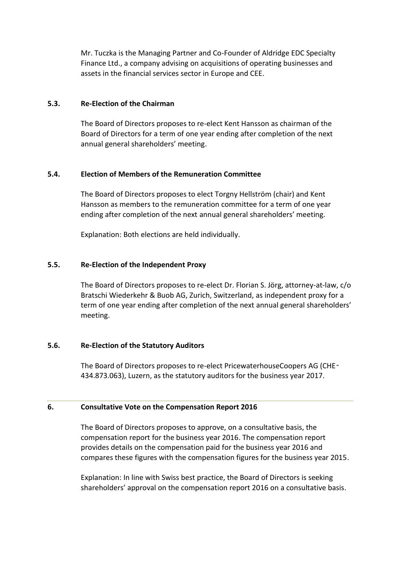Mr. Tuczka is the Managing Partner and Co-Founder of Aldridge EDC Specialty Finance Ltd., a company advising on acquisitions of operating businesses and assets in the financial services sector in Europe and CEE.

#### **5.3. Re-Election of the Chairman**

The Board of Directors proposes to re-elect Kent Hansson as chairman of the Board of Directors for a term of one year ending after completion of the next annual general shareholders' meeting.

# **5.4. Election of Members of the Remuneration Committee**

The Board of Directors proposes to elect Torgny Hellström (chair) and Kent Hansson as members to the remuneration committee for a term of one year ending after completion of the next annual general shareholders' meeting.

Explanation: Both elections are held individually.

# **5.5. Re-Election of the Independent Proxy**

The Board of Directors proposes to re-elect Dr. Florian S. Jörg, attorney-at-law, c/o Bratschi Wiederkehr & Buob AG, Zurich, Switzerland, as independent proxy for a term of one year ending after completion of the next annual general shareholders' meeting.

# **5.6. Re-Election of the Statutory Auditors**

The Board of Directors proposes to re-elect PricewaterhouseCoopers AG (CHE‑ 434.873.063), Luzern, as the statutory auditors for the business year 2017.

#### **6. Consultative Vote on the Compensation Report 2016**

The Board of Directors proposes to approve, on a consultative basis, the compensation report for the business year 2016. The compensation report provides details on the compensation paid for the business year 2016 and compares these figures with the compensation figures for the business year 2015.

Explanation: In line with Swiss best practice, the Board of Directors is seeking shareholders' approval on the compensation report 2016 on a consultative basis.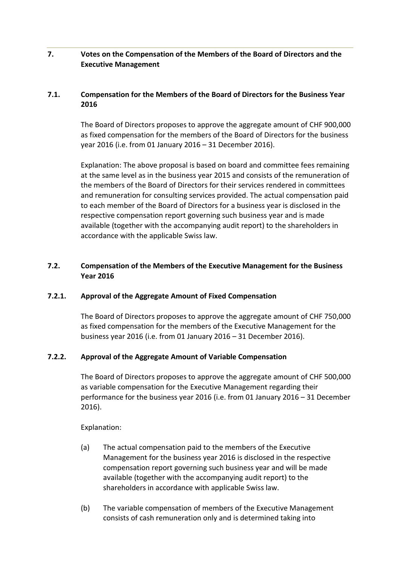# **7. Votes on the Compensation of the Members of the Board of Directors and the Executive Management**

# **7.1. Compensation for the Members of the Board of Directors for the Business Year 2016**

The Board of Directors proposes to approve the aggregate amount of CHF 900,000 as fixed compensation for the members of the Board of Directors for the business year 2016 (i.e. from 01 January 2016 – 31 December 2016).

Explanation: The above proposal is based on board and committee fees remaining at the same level as in the business year 2015 and consists of the remuneration of the members of the Board of Directors for their services rendered in committees and remuneration for consulting services provided. The actual compensation paid to each member of the Board of Directors for a business year is disclosed in the respective compensation report governing such business year and is made available (together with the accompanying audit report) to the shareholders in accordance with the applicable Swiss law.

# **7.2. Compensation of the Members of the Executive Management for the Business Year 2016**

# **7.2.1. Approval of the Aggregate Amount of Fixed Compensation**

The Board of Directors proposes to approve the aggregate amount of CHF 750,000 as fixed compensation for the members of the Executive Management for the business year 2016 (i.e. from 01 January 2016 – 31 December 2016).

# **7.2.2. Approval of the Aggregate Amount of Variable Compensation**

The Board of Directors proposes to approve the aggregate amount of CHF 500,000 as variable compensation for the Executive Management regarding their performance for the business year 2016 (i.e. from 01 January 2016 – 31 December 2016).

Explanation:

- (a) The actual compensation paid to the members of the Executive Management for the business year 2016 is disclosed in the respective compensation report governing such business year and will be made available (together with the accompanying audit report) to the shareholders in accordance with applicable Swiss law.
- (b) The variable compensation of members of the Executive Management consists of cash remuneration only and is determined taking into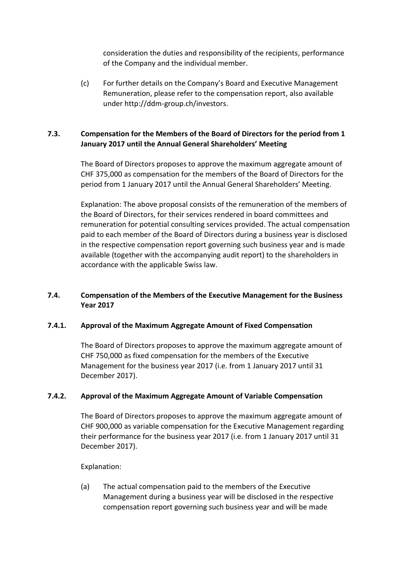consideration the duties and responsibility of the recipients, performance of the Company and the individual member.

(c) For further details on the Company's Board and Executive Management Remuneration, please refer to the compensation report, also available under http://ddm-group.ch/investors.

# **7.3. Compensation for the Members of the Board of Directors for the period from 1 January 2017 until the Annual General Shareholders' Meeting**

The Board of Directors proposes to approve the maximum aggregate amount of CHF 375,000 as compensation for the members of the Board of Directors for the period from 1 January 2017 until the Annual General Shareholders' Meeting.

Explanation: The above proposal consists of the remuneration of the members of the Board of Directors, for their services rendered in board committees and remuneration for potential consulting services provided. The actual compensation paid to each member of the Board of Directors during a business year is disclosed in the respective compensation report governing such business year and is made available (together with the accompanying audit report) to the shareholders in accordance with the applicable Swiss law.

# **7.4. Compensation of the Members of the Executive Management for the Business Year 2017**

# **7.4.1. Approval of the Maximum Aggregate Amount of Fixed Compensation**

The Board of Directors proposes to approve the maximum aggregate amount of CHF 750,000 as fixed compensation for the members of the Executive Management for the business year 2017 (i.e. from 1 January 2017 until 31 December 2017).

# **7.4.2. Approval of the Maximum Aggregate Amount of Variable Compensation**

The Board of Directors proposes to approve the maximum aggregate amount of CHF 900,000 as variable compensation for the Executive Management regarding their performance for the business year 2017 (i.e. from 1 January 2017 until 31 December 2017).

# Explanation:

(a) The actual compensation paid to the members of the Executive Management during a business year will be disclosed in the respective compensation report governing such business year and will be made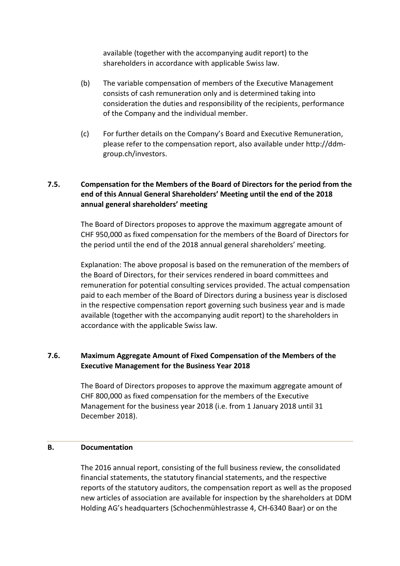available (together with the accompanying audit report) to the shareholders in accordance with applicable Swiss law.

- (b) The variable compensation of members of the Executive Management consists of cash remuneration only and is determined taking into consideration the duties and responsibility of the recipients, performance of the Company and the individual member.
- (c) For further details on the Company's Board and Executive Remuneration, please refer to the compensation report, also available under http://ddmgroup.ch/investors.

# **7.5. Compensation for the Members of the Board of Directors for the period from the end of this Annual General Shareholders' Meeting until the end of the 2018 annual general shareholders' meeting**

The Board of Directors proposes to approve the maximum aggregate amount of CHF 950,000 as fixed compensation for the members of the Board of Directors for the period until the end of the 2018 annual general shareholders' meeting.

Explanation: The above proposal is based on the remuneration of the members of the Board of Directors, for their services rendered in board committees and remuneration for potential consulting services provided. The actual compensation paid to each member of the Board of Directors during a business year is disclosed in the respective compensation report governing such business year and is made available (together with the accompanying audit report) to the shareholders in accordance with the applicable Swiss law.

# **7.6. Maximum Aggregate Amount of Fixed Compensation of the Members of the Executive Management for the Business Year 2018**

The Board of Directors proposes to approve the maximum aggregate amount of CHF 800,000 as fixed compensation for the members of the Executive Management for the business year 2018 (i.e. from 1 January 2018 until 31 December 2018).

# **B. Documentation**

The 2016 annual report, consisting of the full business review, the consolidated financial statements, the statutory financial statements, and the respective reports of the statutory auditors, the compensation report as well as the proposed new articles of association are available for inspection by the shareholders at DDM Holding AG's headquarters (Schochenmühlestrasse 4, CH-6340 Baar) or on the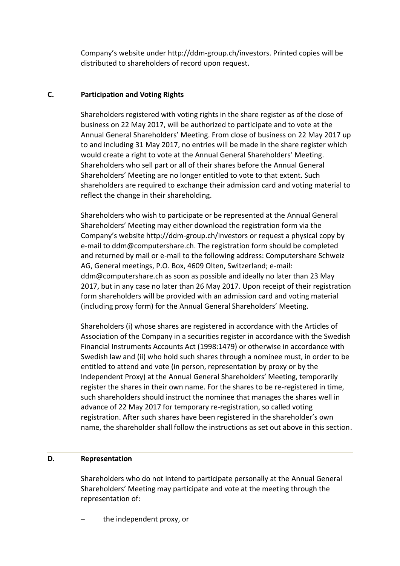Company's website under http://ddm-group.ch/investors. Printed copies will be distributed to shareholders of record upon request.

# **C. Participation and Voting Rights**

Shareholders registered with voting rights in the share register as of the close of business on 22 May 2017, will be authorized to participate and to vote at the Annual General Shareholders' Meeting. From close of business on 22 May 2017 up to and including 31 May 2017, no entries will be made in the share register which would create a right to vote at the Annual General Shareholders' Meeting. Shareholders who sell part or all of their shares before the Annual General Shareholders' Meeting are no longer entitled to vote to that extent. Such shareholders are required to exchange their admission card and voting material to reflect the change in their shareholding.

Shareholders who wish to participate or be represented at the Annual General Shareholders' Meeting may either download the registration form via the Company's website http://ddm-group.ch/investors or request a physical copy by e-mail to ddm@computershare.ch. The registration form should be completed and returned by mail or e-mail to the following address: Computershare Schweiz AG, General meetings, P.O. Box, 4609 Olten, Switzerland; e-mail: ddm@computershare.ch as soon as possible and ideally no later than 23 May 2017, but in any case no later than 26 May 2017. Upon receipt of their registration form shareholders will be provided with an admission card and voting material (including proxy form) for the Annual General Shareholders' Meeting.

Shareholders (i) whose shares are registered in accordance with the Articles of Association of the Company in a securities register in accordance with the Swedish Financial Instruments Accounts Act (1998:1479) or otherwise in accordance with Swedish law and (ii) who hold such shares through a nominee must, in order to be entitled to attend and vote (in person, representation by proxy or by the Independent Proxy) at the Annual General Shareholders' Meeting, temporarily register the shares in their own name. For the shares to be re-registered in time, such shareholders should instruct the nominee that manages the shares well in advance of 22 May 2017 for temporary re-registration, so called voting registration. After such shares have been registered in the shareholder's own name, the shareholder shall follow the instructions as set out above in this section.

# **D. Representation**

Shareholders who do not intend to participate personally at the Annual General Shareholders' Meeting may participate and vote at the meeting through the representation of:

the independent proxy, or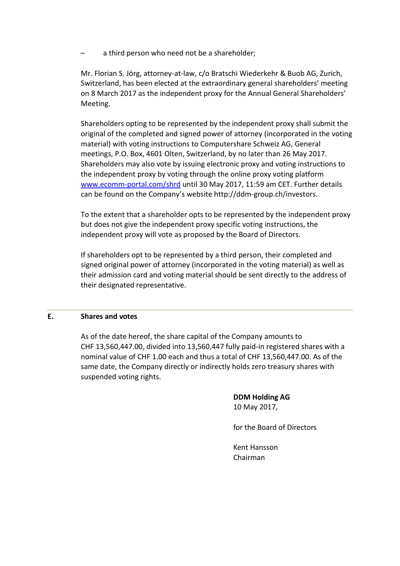– a third person who need not be a shareholder;

Mr. Florian S. Jörg, attorney-at-law, c/o Bratschi Wiederkehr & Buob AG, Zurich, Switzerland, has been elected at the extraordinary general shareholders' meeting on 8 March 2017 as the independent proxy for the Annual General Shareholders' Meeting.

Shareholders opting to be represented by the independent proxy shall submit the original of the completed and signed power of attorney (incorporated in the voting material) with voting instructions to Computershare Schweiz AG, General meetings, P.O. Box, 4601 Olten, Switzerland, by no later than 26 May 2017. Shareholders may also vote by issuing electronic proxy and voting instructions to the independent proxy by voting through the online proxy voting platform www.ecomm-portal.com/shrd until 30 May 2017, 11:59 am CET. Further details can be found on the Company's website http://ddm-group.ch/investors.

To the extent that a shareholder opts to be represented by the independent proxy but does not give the independent proxy specific voting instructions, the independent proxy will vote as proposed by the Board of Directors.

If shareholders opt to be represented by a third person, their completed and signed original power of attorney (incorporated in the voting material) as well as their admission card and voting material should be sent directly to the address of their designated representative.

#### **E. Shares and votes**

As of the date hereof, the share capital of the Company amounts to CHF 13,560,447.00, divided into 13,560,447 fully paid-in registered shares with a nominal value of CHF 1.00 each and thus a total of CHF 13,560,447.00. As of the same date, the Company directly or indirectly holds zero treasury shares with suspended voting rights.

> **DDM Holding AG** 10 May 2017,

for the Board of Directors

Kent Hansson Chairman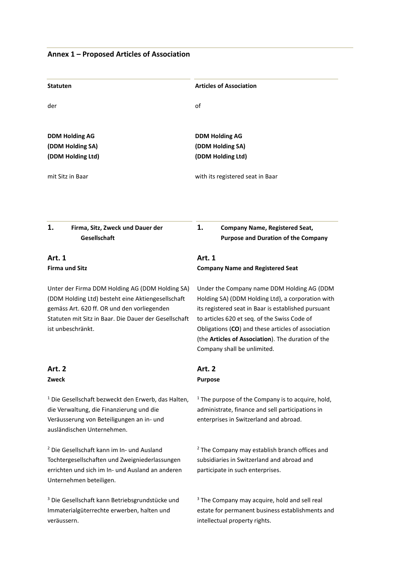# **Annex 1 – Proposed Articles of Association**

| <b>Statuten</b>                                                                                                                                                                                                                   | <b>Articles of Association</b>                                                                                                                                                                                                                                                                                                                    |  |  |  |
|-----------------------------------------------------------------------------------------------------------------------------------------------------------------------------------------------------------------------------------|---------------------------------------------------------------------------------------------------------------------------------------------------------------------------------------------------------------------------------------------------------------------------------------------------------------------------------------------------|--|--|--|
| der                                                                                                                                                                                                                               | of                                                                                                                                                                                                                                                                                                                                                |  |  |  |
| <b>DDM Holding AG</b><br>(DDM Holding SA)                                                                                                                                                                                         | <b>DDM Holding AG</b><br>(DDM Holding SA)                                                                                                                                                                                                                                                                                                         |  |  |  |
| (DDM Holding Ltd)                                                                                                                                                                                                                 | (DDM Holding Ltd)                                                                                                                                                                                                                                                                                                                                 |  |  |  |
| mit Sitz in Baar                                                                                                                                                                                                                  | with its registered seat in Baar                                                                                                                                                                                                                                                                                                                  |  |  |  |
| 1.<br>Firma, Sitz, Zweck und Dauer der<br>Gesellschaft                                                                                                                                                                            | 1.<br><b>Company Name, Registered Seat,</b><br><b>Purpose and Duration of the Company</b>                                                                                                                                                                                                                                                         |  |  |  |
| <b>Art. 1</b><br><b>Firma und Sitz</b>                                                                                                                                                                                            | Art. 1<br><b>Company Name and Registered Seat</b>                                                                                                                                                                                                                                                                                                 |  |  |  |
| Unter der Firma DDM Holding AG (DDM Holding SA)<br>(DDM Holding Ltd) besteht eine Aktiengesellschaft<br>gemäss Art. 620 ff. OR und den vorliegenden<br>Statuten mit Sitz in Baar. Die Dauer der Gesellschaft<br>ist unbeschränkt. | Under the Company name DDM Holding AG (DDM<br>Holding SA) (DDM Holding Ltd), a corporation with<br>its registered seat in Baar is established pursuant<br>to articles 620 et seq. of the Swiss Code of<br>Obligations (CO) and these articles of association<br>(the Articles of Association). The duration of the<br>Company shall be unlimited. |  |  |  |
| Art. 2<br>Zweck                                                                                                                                                                                                                   | <b>Art. 2</b><br><b>Purpose</b>                                                                                                                                                                                                                                                                                                                   |  |  |  |
| <sup>1</sup> Die Gesellschaft bezweckt den Erwerb, das Halten,<br>die Verwaltung, die Finanzierung und die<br>Veräusserung von Beteiligungen an in- und<br>ausländischen Unternehmen.                                             | $1$ The purpose of the Company is to acquire, hold,<br>administrate, finance and sell participations in<br>enterprises in Switzerland and abroad.                                                                                                                                                                                                 |  |  |  |
| <sup>2</sup> Die Gesellschaft kann im In- und Ausland<br>Tochtergesellschaften und Zweigniederlassungen<br>errichten und sich im In- und Ausland an anderen<br>Unternehmen beteiligen.                                            | <sup>2</sup> The Company may establish branch offices and<br>subsidiaries in Switzerland and abroad and<br>participate in such enterprises.                                                                                                                                                                                                       |  |  |  |
|                                                                                                                                                                                                                                   |                                                                                                                                                                                                                                                                                                                                                   |  |  |  |

<sup>3</sup> Die Gesellschaft kann Betriebsgrundstücke und Immaterialgüterrechte erwerben, halten und veräussern.

# <sup>3</sup> The Company may acquire, hold and sell real estate for permanent business establishments and intellectual property rights.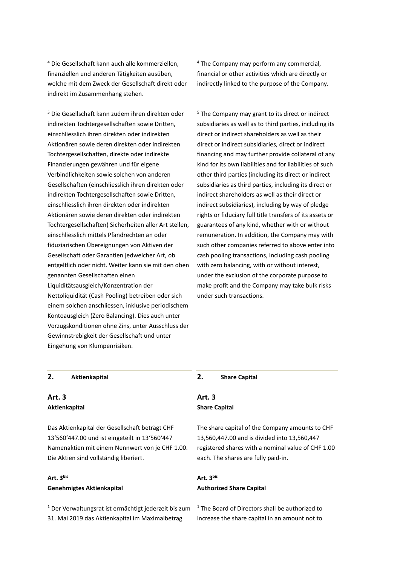<sup>4</sup> Die Gesellschaft kann auch alle kommerziellen, finanziellen und anderen Tätigkeiten ausüben, welche mit dem Zweck der Gesellschaft direkt oder indirekt im Zusammenhang stehen.

<sup>4</sup> The Company may perform any commercial, financial or other activities which are directly or indirectly linked to the purpose of the Company.

<sup>5</sup> Die Gesellschaft kann zudem ihren direkten oder indirekten Tochtergesellschaften sowie Dritten, einschliesslich ihren direkten oder indirekten Aktionären sowie deren direkten oder indirekten Tochtergesellschaften, direkte oder indirekte Finanzierungen gewähren und für eigene Verbindlichkeiten sowie solchen von anderen Gesellschaften (einschliesslich ihren direkten oder indirekten Tochtergesellschaften sowie Dritten, einschliesslich ihren direkten oder indirekten Aktionären sowie deren direkten oder indirekten Tochtergesellschaften) Sicherheiten aller Art stellen, einschliesslich mittels Pfandrechten an oder fiduziarischen Übereignungen von Aktiven der Gesellschaft oder Garantien jedwelcher Art, ob entgeltlich oder nicht. Weiter kann sie mit den oben genannten Gesellschaften einen Liquiditätsausgleich/Konzentration der Nettoliquidität (Cash Pooling) betreiben oder sich einem solchen anschliessen, inklusive periodischem Kontoausgleich (Zero Balancing). Dies auch unter Vorzugskonditionen ohne Zins, unter Ausschluss der Gewinnstrebigkeit der Gesellschaft und unter Eingehung von Klumpenrisiken.

<sup>5</sup> The Company may grant to its direct or indirect subsidiaries as well as to third parties, including its direct or indirect shareholders as well as their direct or indirect subsidiaries, direct or indirect financing and may further provide collateral of any kind for its own liabilities and for liabilities of such other third parties (including its direct or indirect subsidiaries as third parties, including its direct or indirect shareholders as well as their direct or indirect subsidiaries), including by way of pledge rights or fiduciary full title transfers of its assets or guarantees of any kind, whether with or without remuneration. In addition, the Company may with such other companies referred to above enter into cash pooling transactions, including cash pooling with zero balancing, with or without interest, under the exclusion of the corporate purpose to make profit and the Company may take bulk risks under such transactions.

#### **2. Aktienkapital 2. Share Capital**

# **Art. 3 Aktienkapital**

Das Aktienkapital der Gesellschaft beträgt CHF 13'560'447.00 und ist eingeteilt in 13'560'447 Namenaktien mit einem Nennwert von je CHF 1.00. Die Aktien sind vollständig liberiert.

# **Art. 3bis Genehmigtes Aktienkapital**

<sup>1</sup> Der Verwaltungsrat ist ermächtigt jederzeit bis zum 31. Mai 2019 das Aktienkapital im Maximalbetrag

#### **Art. 3 Share Capital**

The share capital of the Company amounts to CHF 13,560,447.00 and is divided into 13,560,447 registered shares with a nominal value of CHF 1.00 each. The shares are fully paid-in.

#### **Art. 3bis Authorized Share Capital**

<sup>1</sup> The Board of Directors shall be authorized to increase the share capital in an amount not to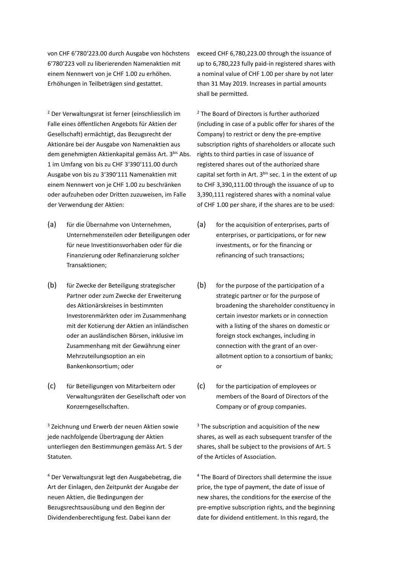von CHF 6'780'223.00 durch Ausgabe von höchstens 6'780'223 voll zu liberierenden Namenaktien mit einem Nennwert von je CHF 1.00 zu erhöhen. Erhöhungen in Teilbeträgen sind gestattet.

<sup>2</sup> Der Verwaltungsrat ist ferner (einschliesslich im Falle eines öffentlichen Angebots für Aktien der Gesellschaft) ermächtigt, das Bezugsrecht der Aktionäre bei der Ausgabe von Namenaktien aus dem genehmigten Aktienkapital gemäss Art. 3<sup>bis</sup> Abs. 1 im Umfang von bis zu CHF 3'390'111.00 durch Ausgabe von bis zu 3'390'111 Namenaktien mit einem Nennwert von je CHF 1.00 zu beschränken oder aufzuheben oder Dritten zuzuweisen, im Falle der Verwendung der Aktien:

- (a) für die Übernahme von Unternehmen, Unternehmensteilen oder Beteiligungen oder für neue Investitionsvorhaben oder für die Finanzierung oder Refinanzierung solcher Transaktionen;
- (b) für Zwecke der Beteiligung strategischer Partner oder zum Zwecke der Erweiterung des Aktionärskreises in bestimmten Investorenmärkten oder im Zusammenhang mit der Kotierung der Aktien an inländischen oder an ausländischen Börsen, inklusive im Zusammenhang mit der Gewährung einer Mehrzuteilungsoption an ein Bankenkonsortium; oder
- (c) für Beteiligungen von Mitarbeitern oder Verwaltungsräten der Gesellschaft oder von Konzerngesellschaften.

<sup>3</sup> Zeichnung und Erwerb der neuen Aktien sowie jede nachfolgende Übertragung der Aktien unterliegen den Bestimmungen gemäss Art. 5 der Statuten.

<sup>4</sup> Der Verwaltungsrat legt den Ausgabebetrag, die Art der Einlagen, den Zeitpunkt der Ausgabe der neuen Aktien, die Bedingungen der Bezugsrechtsausübung und den Beginn der Dividendenberechtigung fest. Dabei kann der

exceed CHF 6,780,223.00 through the issuance of up to 6,780,223 fully paid-in registered shares with a nominal value of CHF 1.00 per share by not later than 31 May 2019. Increases in partial amounts shall be permitted.

<sup>2</sup> The Board of Directors is further authorized (including in case of a public offer for shares of the Company) to restrict or deny the pre-emptive subscription rights of shareholders or allocate such rights to third parties in case of issuance of registered shares out of the authorized share capital set forth in Art.  $3^{bis}$  sec. 1 in the extent of up to CHF 3,390,111.00 through the issuance of up to 3,390,111 registered shares with a nominal value of CHF 1.00 per share, if the shares are to be used:

- (a) for the acquisition of enterprises, parts of enterprises, or participations, or for new investments, or for the financing or refinancing of such transactions;
- (b) for the purpose of the participation of a strategic partner or for the purpose of broadening the shareholder constituency in certain investor markets or in connection with a listing of the shares on domestic or foreign stock exchanges, including in connection with the grant of an overallotment option to a consortium of banks; or
- (c) for the participation of employees or members of the Board of Directors of the Company or of group companies.

 $3$  The subscription and acquisition of the new shares, as well as each subsequent transfer of the shares, shall be subject to the provisions of Art. 5 of the Articles of Association.

<sup>4</sup> The Board of Directors shall determine the issue price, the type of payment, the date of issue of new shares, the conditions for the exercise of the pre-emptive subscription rights, and the beginning date for dividend entitlement. In this regard, the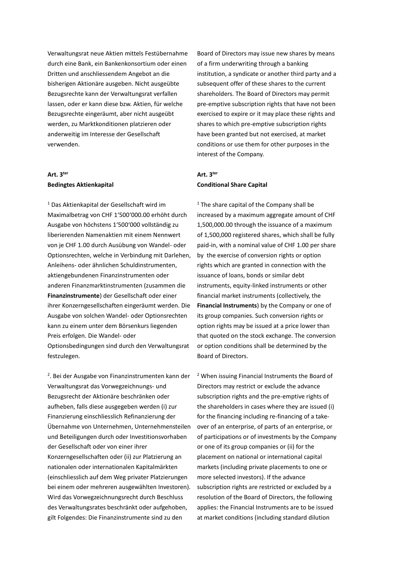Verwaltungsrat neue Aktien mittels Festübernahme durch eine Bank, ein Bankenkonsortium oder einen Dritten und anschliessendem Angebot an die bisherigen Aktionäre ausgeben. Nicht ausgeübte Bezugsrechte kann der Verwaltungsrat verfallen lassen, oder er kann diese bzw. Aktien, für welche Bezugsrechte eingeräumt, aber nicht ausgeübt werden, zu Marktkonditionen platzieren oder anderweitig im Interesse der Gesellschaft verwenden.

# **Art. 3ter Bedingtes Aktienkapital**

<sup>1</sup> Das Aktienkapital der Gesellschaft wird im Maximalbetrag von CHF 1'500'000.00 erhöht durch Ausgabe von höchstens 1'500'000 vollständig zu liberierenden Namenaktien mit einem Nennwert von je CHF 1.00 durch Ausübung von Wandel- oder Optionsrechten, welche in Verbindung mit Darlehen, Anleihens- oder ähnlichen Schuldinstrumenten, aktiengebundenen Finanzinstrumenten oder anderen Finanzmarktinstrumenten (zusammen die **Finanzinstrumente**) der Gesellschaft oder einer ihrer Konzerngesellschaften eingeräumt werden. Die Ausgabe von solchen Wandel- oder Optionsrechten kann zu einem unter dem Börsenkurs liegenden Preis erfolgen. Die Wandel- oder Optionsbedingungen sind durch den Verwaltungsrat festzulegen.

<sup>2</sup>. Bei der Ausgabe von Finanzinstrumenten kann der Verwaltungsrat das Vorwegzeichnungs- und Bezugsrecht der Aktionäre beschränken oder aufheben, falls diese ausgegeben werden (i) zur Finanzierung einschliesslich Refinanzierung der Übernahme von Unternehmen, Unternehmensteilen und Beteiligungen durch oder Investitionsvorhaben der Gesellschaft oder von einer ihrer Konzerngesellschaften oder (ii) zur Platzierung an nationalen oder internationalen Kapitalmärkten (einschliesslich auf dem Weg privater Platzierungen bei einem oder mehreren ausgewählten Investoren). Wird das Vorwegzeichnungsrecht durch Beschluss des Verwaltungsrates beschränkt oder aufgehoben, gilt Folgendes: Die Finanzinstrumente sind zu den

Board of Directors may issue new shares by means of a firm underwriting through a banking institution, a syndicate or another third party and a subsequent offer of these shares to the current shareholders. The Board of Directors may permit pre-emptive subscription rights that have not been exercised to expire or it may place these rights and shares to which pre-emptive subscription rights have been granted but not exercised, at market conditions or use them for other purposes in the interest of the Company.

#### **Art. 3ter Conditional Share Capital**

<sup>1</sup> The share capital of the Company shall be increased by a maximum aggregate amount of CHF 1,500,000.00 through the issuance of a maximum of 1,500,000 registered shares, which shall be fully paid-in, with a nominal value of CHF 1.00 per share by the exercise of conversion rights or option rights which are granted in connection with the issuance of loans, bonds or similar debt instruments, equity-linked instruments or other financial market instruments (collectively, the **Financial Instruments**) by the Company or one of its group companies. Such conversion rights or option rights may be issued at a price lower than that quoted on the stock exchange. The conversion or option conditions shall be determined by the Board of Directors.

<sup>2</sup> When issuing Financial Instruments the Board of Directors may restrict or exclude the advance subscription rights and the pre-emptive rights of the shareholders in cases where they are issued (i) for the financing including re-financing of a takeover of an enterprise, of parts of an enterprise, or of participations or of investments by the Company or one of its group companies or (ii) for the placement on national or international capital markets (including private placements to one or more selected investors). If the advance subscription rights are restricted or excluded by a resolution of the Board of Directors, the following applies: the Financial Instruments are to be issued at market conditions (including standard dilution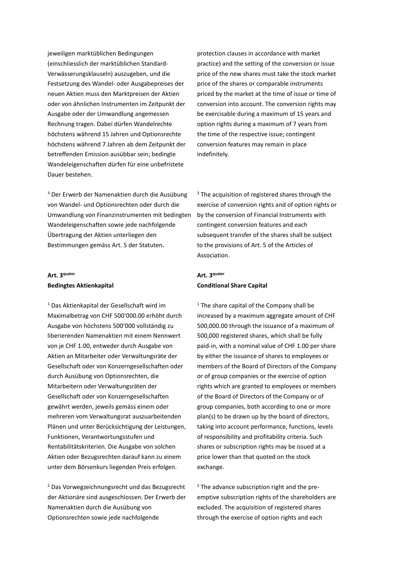jeweiligen marktüblichen Bedingungen (einschliesslich der marktüblichen Standard-Verwässerungsklauseln) auszugeben, und die Festsetzung des Wandel- oder Ausgabepreises der neuen Aktien muss den Marktpreisen der Aktien oder von ähnlichen Instrumenten im Zeitpunkt der Ausgabe oder der Umwandlung angemessen Rechnung tragen. Dabei dürfen Wandelrechte höchstens während 15 Jahren und Optionsrechte höchstens während 7 Jahren ab dem Zeitpunkt der betreffenden Emission ausübbar sein; bedingte Wandeleigenschaften dürfen für eine unbefristete Dauer bestehen.

<sup>3</sup> Der Erwerb der Namenaktien durch die Ausübung von Wandel- und Optionsrechten oder durch die Umwandlung von Finanzinstrumenten mit bedingten Wandeleigenschaften sowie jede nachfolgende Übertragung der Aktien unterliegen den Bestimmungen gemäss Art. 5 der Statuten.

#### **Art. 3quater Bedingtes Aktienkapital**

<sup>1</sup> Das Aktienkapital der Gesellschaft wird im Maximalbetrag von CHF 500'000.00 erhöht durch Ausgabe von höchstens 500'000 vollständig zu liberierenden Namenaktien mit einem Nennwert von je CHF 1.00, entweder durch Ausgabe von Aktien an Mitarbeiter oder Verwaltungsräte der Gesellschaft oder von Konzerngesellschaften oder durch Ausübung von Optionsrechten, die Mitarbeitern oder Verwaltungsräten der Gesellschaft oder von Konzerngesellschaften gewährt werden, jeweils gemäss einem oder mehreren vom Verwaltungsrat auszuarbeitenden Plänen und unter Berücksichtigung der Leistungen, Funktionen, Verantwortungsstufen und Rentabilitätskriterien. Die Ausgabe von solchen Aktien oder Bezugsrechten darauf kann zu einem unter dem Börsenkurs liegenden Preis erfolgen.

<sup>2</sup> Das Vorwegzeichnungsrecht und das Bezugsrecht der Aktionäre sind ausgeschlossen. Der Erwerb der Namenaktien durch die Ausübung von Optionsrechten sowie jede nachfolgende

protection clauses in accordance with market practice) and the setting of the conversion or issue price of the new shares must take the stock market price of the shares or comparable instruments priced by the market at the time of issue or time of conversion into account. The conversion rights may be exercisable during a maximum of 15 years and option rights during a maximum of 7 years from the time of the respective issue; contingent conversion features may remain in place indefinitely.

<sup>3</sup> The acquisition of registered shares through the exercise of conversion rights and of option rights or by the conversion of Financial Instruments with contingent conversion features and each subsequent transfer of the shares shall be subject to the provisions of Art. 5 of the Articles of Association.

#### **Art. 3quater Conditional Share Capital**

 $1$  The share capital of the Company shall be increased by a maximum aggregate amount of CHF 500,000.00 through the issuance of a maximum of 500,000 registered shares, which shall be fully paid-in, with a nominal value of CHF 1.00 per share by either the issuance of shares to employees or members of the Board of Directors of the Company or of group companies or the exercise of option rights which are granted to employees or members of the Board of Directors of the Company or of group companies, both according to one or more plan(s) to be drawn up by the board of directors, taking into account performance, functions, levels of responsibility and profitability criteria. Such shares or subscription rights may be issued at a price lower than that quoted on the stock exchange.

<sup>2</sup> The advance subscription right and the preemptive subscription rights of the shareholders are excluded. The acquisition of registered shares through the exercise of option rights and each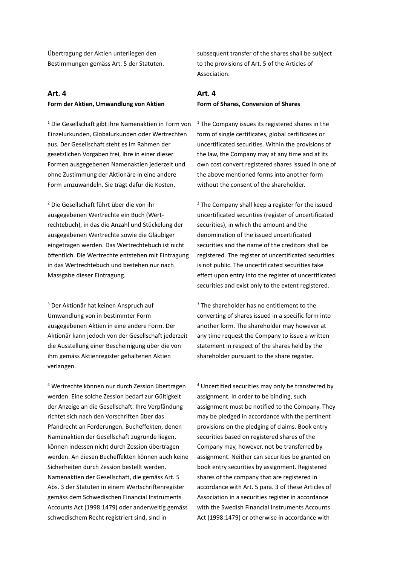Übertragung der Aktien unterliegen den Bestimmungen gemäss Art. 5 der Statuten.

#### **Art. 4 Form der Aktien, Umwandlung von Aktien**

<sup>1</sup> Die Gesellschaft gibt ihre Namenaktien in Form von Einzelurkunden, Globalurkunden oder Wertrechten aus. Der Gesellschaft steht es im Rahmen der gesetzlichen Vorgaben frei, ihre in einer dieser Formen ausgegebenen Namenaktien jederzeit und ohne Zustimmung der Aktionäre in eine andere Form umzuwandeln. Sie trägt dafür die Kosten.

<sup>2</sup> Die Gesellschaft führt über die von ihr ausgegebenen Wertrechte ein Buch (Wertrechtebuch), in das die Anzahl und Stückelung der ausgegebenen Wertrechte sowie die Gläubiger eingetragen werden. Das Wertrechtebuch ist nicht öffentlich. Die Wertrechte entstehen mit Eintragung in das Wertrechtebuch und bestehen nur nach Massgabe dieser Eintragung.

<sup>3</sup> Der Aktionär hat keinen Anspruch auf Umwandlung von in bestimmter Form ausgegebenen Aktien in eine andere Form. Der Aktionär kann jedoch von der Gesellschaft jederzeit die Ausstellung einer Bescheinigung über die von ihm gemäss Aktienregister gehaltenen Aktien verlangen.

<sup>4</sup> Wertrechte können nur durch Zession übertragen werden. Eine solche Zession bedarf zur Gültigkeit der Anzeige an die Gesellschaft. Ihre Verpfändung richtet sich nach den Vorschriften über das Pfandrecht an Forderungen. Bucheffekten, denen Namenaktien der Gesellschaft zugrunde liegen, können indessen nicht durch Zession übertragen werden. An diesen Bucheffekten können auch keine Sicherheiten durch Zession bestellt werden. Namenaktien der Gesellschaft, die gemäss Art. 5 Abs. 3 der Statuten in einem Wertschriftenregister gemäss dem Schwedischen Financial Instruments Accounts Act (1998:1479) oder anderweitig gemäss schwedischem Recht registriert sind, sind in

subsequent transfer of the shares shall be subject to the provisions of Art. 5 of the Articles of Association.

#### **Art. 4 Form of Shares, Conversion of Shares**

 $1$  The Company issues its registered shares in the form of single certificates, global certificates or uncertificated securities. Within the provisions of the law, the Company may at any time and at its own cost convert registered shares issued in one of the above mentioned forms into another form without the consent of the shareholder.

<sup>2</sup> The Company shall keep a register for the issued uncertificated securities (register of uncertificated securities), in which the amount and the denomination of the issued uncertificated securities and the name of the creditors shall be registered. The register of uncertificated securities is not public. The uncertificated securities take effect upon entry into the register of uncertificated securities and exist only to the extent registered.

<sup>3</sup> The shareholder has no entitlement to the converting of shares issued in a specific form into another form. The shareholder may however at any time request the Company to issue a written statement in respect of the shares held by the shareholder pursuant to the share register.

<sup>4</sup> Uncertified securities may only be transferred by assignment. In order to be binding, such assignment must be notified to the Company. They may be pledged in accordance with the pertinent provisions on the pledging of claims. Book entry securities based on registered shares of the Company may, however, not be transferred by assignment. Neither can securities be granted on book entry securities by assignment. Registered shares of the company that are registered in accordance with Art. 5 para. 3 of these Articles of Association in a securities register in accordance with the Swedish Financial Instruments Accounts Act (1998:1479) or otherwise in accordance with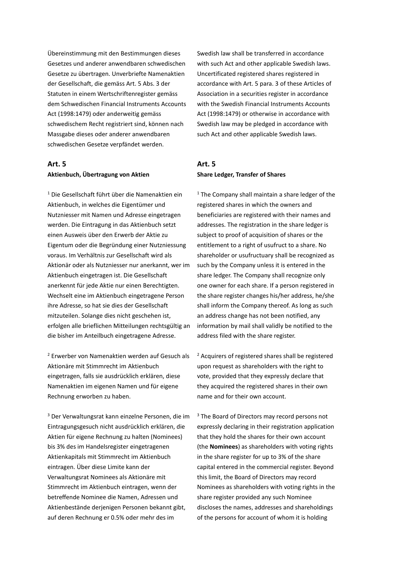Übereinstimmung mit den Bestimmungen dieses Gesetzes und anderer anwendbaren schwedischen Gesetze zu übertragen. Unverbriefte Namenaktien der Gesellschaft, die gemäss Art. 5 Abs. 3 der Statuten in einem Wertschriftenregister gemäss dem Schwedischen Financial Instruments Accounts Act (1998:1479) oder anderweitig gemäss schwedischem Recht registriert sind, können nach Massgabe dieses oder anderer anwendbaren schwedischen Gesetze verpfändet werden.

#### **Art. 5 Aktienbuch, Übertragung von Aktien**

<sup>1</sup> Die Gesellschaft führt über die Namenaktien ein Aktienbuch, in welches die Eigentümer und Nutzniesser mit Namen und Adresse eingetragen werden. Die Eintragung in das Aktienbuch setzt einen Ausweis über den Erwerb der Aktie zu Eigentum oder die Begründung einer Nutzniessung voraus. Im Verhältnis zur Gesellschaft wird als Aktionär oder als Nutzniesser nur anerkannt, wer im Aktienbuch eingetragen ist. Die Gesellschaft anerkennt für jede Aktie nur einen Berechtigten. Wechselt eine im Aktienbuch eingetragene Person ihre Adresse, so hat sie dies der Gesellschaft mitzuteilen. Solange dies nicht geschehen ist, erfolgen alle brieflichen Mitteilungen rechtsgültig an die bisher im Anteilbuch eingetragene Adresse.

<sup>2</sup> Erwerber von Namenaktien werden auf Gesuch als Aktionäre mit Stimmrecht im Aktienbuch eingetragen, falls sie ausdrücklich erklären, diese Namenaktien im eigenen Namen und für eigene Rechnung erworben zu haben.

<sup>3</sup> Der Verwaltungsrat kann einzelne Personen, die im Eintragungsgesuch nicht ausdrücklich erklären, die Aktien für eigene Rechnung zu halten (Nominees) bis 3% des im Handelsregister eingetragenen Aktienkapitals mit Stimmrecht im Aktienbuch eintragen. Über diese Limite kann der Verwaltungsrat Nominees als Aktionäre mit Stimmrecht im Aktienbuch eintragen, wenn der betreffende Nominee die Namen, Adressen und Aktienbestände derjenigen Personen bekannt gibt, auf deren Rechnung er 0.5% oder mehr des im

Swedish law shall be transferred in accordance with such Act and other applicable Swedish laws. Uncertificated registered shares registered in accordance with Art. 5 para. 3 of these Articles of Association in a securities register in accordance with the Swedish Financial Instruments Accounts Act (1998:1479) or otherwise in accordance with Swedish law may be pledged in accordance with such Act and other applicable Swedish laws.

#### **Art. 5 Share Ledger, Transfer of Shares**

 $1$  The Company shall maintain a share ledger of the registered shares in which the owners and beneficiaries are registered with their names and addresses. The registration in the share ledger is subject to proof of acquisition of shares or the entitlement to a right of usufruct to a share. No shareholder or usufructuary shall be recognized as such by the Company unless it is entered in the share ledger. The Company shall recognize only one owner for each share. If a person registered in the share register changes his/her address, he/she shall inform the Company thereof. As long as such an address change has not been notified, any information by mail shall validly be notified to the address filed with the share register.

<sup>2</sup> Acquirers of registered shares shall be registered upon request as shareholders with the right to vote, provided that they expressly declare that they acquired the registered shares in their own name and for their own account.

 $3$  The Board of Directors may record persons not expressly declaring in their registration application that they hold the shares for their own account (the **Nominees**) as shareholders with voting rights in the share register for up to 3% of the share capital entered in the commercial register. Beyond this limit, the Board of Directors may record Nominees as shareholders with voting rights in the share register provided any such Nominee discloses the names, addresses and shareholdings of the persons for account of whom it is holding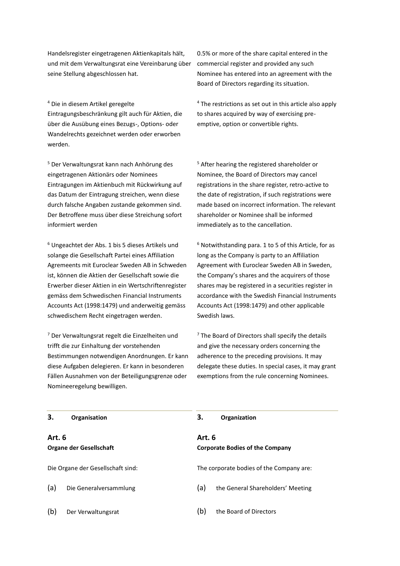Handelsregister eingetragenen Aktienkapitals hält, und mit dem Verwaltungsrat eine Vereinbarung über seine Stellung abgeschlossen hat.

<sup>4</sup> Die in diesem Artikel geregelte Eintragungsbeschränkung gilt auch für Aktien, die über die Ausübung eines Bezugs-, Options- oder Wandelrechts gezeichnet werden oder erworben werden.

<sup>5</sup> Der Verwaltungsrat kann nach Anhörung des eingetragenen Aktionärs oder Nominees Eintragungen im Aktienbuch mit Rückwirkung auf das Datum der Eintragung streichen, wenn diese durch falsche Angaben zustande gekommen sind. Der Betroffene muss über diese Streichung sofort informiert werden

<sup>6</sup> Ungeachtet der Abs. 1 bis 5 dieses Artikels und solange die Gesellschaft Partei eines Affiliation Agremeents mit Euroclear Sweden AB in Schweden ist, können die Aktien der Gesellschaft sowie die Erwerber dieser Aktien in ein Wertschriftenregister gemäss dem Schwedischen Financial Instruments Accounts Act (1998:1479) und anderweitig gemäss schwedischem Recht eingetragen werden.

<sup>7</sup> Der Verwaltungsrat regelt die Einzelheiten und trifft die zur Einhaltung der vorstehenden Bestimmungen notwendigen Anordnungen. Er kann diese Aufgaben delegieren. Er kann in besonderen Fällen Ausnahmen von der Beteiligungsgrenze oder Nomineeregelung bewilligen.

0.5% or more of the share capital entered in the commercial register and provided any such Nominee has entered into an agreement with the Board of Directors regarding its situation.

<sup>4</sup> The restrictions as set out in this article also apply to shares acquired by way of exercising preemptive, option or convertible rights.

<sup>5</sup> After hearing the registered shareholder or Nominee, the Board of Directors may cancel registrations in the share register, retro-active to the date of registration, if such registrations were made based on incorrect information. The relevant shareholder or Nominee shall be informed immediately as to the cancellation.

 $6$  Notwithstanding para. 1 to 5 of this Article, for as long as the Company is party to an Affiliation Agreement with Euroclear Sweden AB in Sweden, the Company's shares and the acquirers of those shares may be registered in a securities register in accordance with the Swedish Financial Instruments Accounts Act (1998:1479) and other applicable Swedish laws.

 $<sup>7</sup>$  The Board of Directors shall specify the details</sup> and give the necessary orders concerning the adherence to the preceding provisions. It may delegate these duties. In special cases, it may grant exemptions from the rule concerning Nominees.

| 3.            | Organisation                      | З.            | Organization                             |
|---------------|-----------------------------------|---------------|------------------------------------------|
| <b>Art. 6</b> | Organe der Gesellschaft           | <b>Art. 6</b> | <b>Corporate Bodies of the Company</b>   |
|               | Die Organe der Gesellschaft sind: |               | The corporate bodies of the Company are: |
| (a)           | Die Generalversammlung            | (a)           | the General Shareholders' Meeting        |
| (b)           | Der Verwaltungsrat                | (b)           | the Board of Directors                   |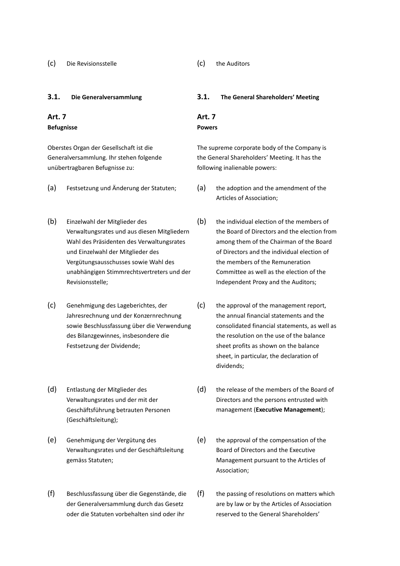#### **Art. 7 Befugnisse**

Oberstes Organ der Gesellschaft ist die Generalversammlung. Ihr stehen folgende unübertragbaren Befugnisse zu:

- 
- (b) Einzelwahl der Mitglieder des Verwaltungsrates und aus diesen Mitgliedern Wahl des Präsidenten des Verwaltungsrates und Einzelwahl der Mitglieder des Vergütungsausschusses sowie Wahl des unabhängigen Stimmrechtsvertreters und der Revisionsstelle;
- (c) Genehmigung des Lageberichtes, der Jahresrechnung und der Konzernrechnung sowie Beschlussfassung über die Verwendung des Bilanzgewinnes, insbesondere die Festsetzung der Dividende;
- (d) Entlastung der Mitglieder des Verwaltungsrates und der mit der Geschäftsführung betrauten Personen (Geschäftsleitung);
- (e) Genehmigung der Vergütung des Verwaltungsrates und der Geschäftsleitung gemäss Statuten;
- (f) Beschlussfassung über die Gegenstände, die der Generalversammlung durch das Gesetz oder die Statuten vorbehalten sind oder ihr

#### **3.1. Die Generalversammlung 3.1. The General Shareholders' Meeting**

#### **Art. 7 Powers**

The supreme corporate body of the Company is the General Shareholders' Meeting. It has the

following inalienable powers:

- (a) Festsetzung und Änderung der Statuten; (a) the adoption and the amendment of the Articles of Association;
	- (b) the individual election of the members of the Board of Directors and the election from among them of the Chairman of the Board of Directors and the individual election of the members of the Remuneration Committee as well as the election of the Independent Proxy and the Auditors;
	- (c) the approval of the management report, the annual financial statements and the consolidated financial statements, as well as the resolution on the use of the balance sheet profits as shown on the balance sheet, in particular, the declaration of dividends;
	- (d) the release of the members of the Board of Directors and the persons entrusted with management (**Executive Management**);
	- (e) the approval of the compensation of the Board of Directors and the Executive Management pursuant to the Articles of Association;
	- (f) the passing of resolutions on matters which are by law or by the Articles of Association reserved to the General Shareholders'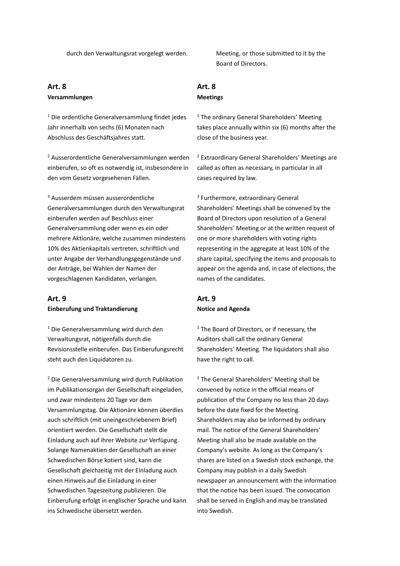#### **Art. 8 Versammlungen**

<sup>1</sup> Die ordentliche Generalversammlung findet jedes Jahr innerhalb von sechs (6) Monaten nach Abschluss des Geschäftsjahres statt.

<sup>2</sup> Ausserordentliche Generalversammlungen werden einberufen, so oft es notwendig ist, insbesondere in den vom Gesetz vorgesehenen Fällen.

<sup>3</sup> Ausserdem müssen ausserordentliche Generalversammlungen durch den Verwaltungsrat einberufen werden auf Beschluss einer Generalversammlung oder wenn es ein oder mehrere Aktionäre, welche zusammen mindestens 10% des Aktienkapitals vertreten, schriftlich und unter Angabe der Verhandlungsgegenstände und der Anträge, bei Wahlen der Namen der vorgeschlagenen Kandidaten, verlangen.

#### **Art. 9 Einberufung und Traktandierung**

<sup>1</sup> Die Generalversammlung wird durch den Verwaltungsrat, nötigenfalls durch die Revisionsstelle einberufen. Das Einberufungsrecht steht auch den Liquidatoren zu.

<sup>2</sup> Die Generalversammlung wird durch Publikation im Publikationsorgan der Gesellschaft eingeladen, und zwar mindestens 20 Tage vor dem Versammlungstag. Die Aktionäre können überdies auch schriftlich (mit uneingeschriebenem Brief) orientiert werden. Die Gesellschaft stellt die Einladung auch auf ihrer Website zur Verfügung. Solange Namenaktien der Gesellschaft an einer Schwedischen Börse kotiert sind, kann die Gesellschaft gleichzeitig mit der Einladung auch einen Hinweis auf die Einladung in einer Schwedischen Tageszeitung publizieren. Die Einberufung erfolgt in englischer Sprache und kann ins Schwedische übersetzt werden.

durch den Verwaltungsrat vorgelegt werden. Meeting, or those submitted to it by the Board of Directors.

# **Art. 8**

#### **Meetings**

<sup>1</sup> The ordinary General Shareholders' Meeting takes place annually within six (6) months after the close of the business year.

<sup>2</sup> Extraordinary General Shareholders' Meetings are called as often as necessary, in particular in all cases required by law.

3 Furthermore, extraordinary General Shareholders' Meetings shall be convened by the Board of Directors upon resolution of a General Shareholders' Meeting or at the written request of one or more shareholders with voting rights representing in the aggregate at least 10% of the share capital, specifying the items and proposals to appear on the agenda and, in case of elections, the names of the candidates.

#### **Art. 9 Notice and Agenda**

<sup>1</sup> The Board of Directors, or if necessary, the Auditors shall call the ordinary General Shareholders' Meeting. The liquidators shall also have the right to call.

<sup>2</sup> The General Shareholders' Meeting shall be convened by notice in the official means of publication of the Company no less than 20 days before the date fixed for the Meeting. Shareholders may also be informed by ordinary mail. The notice of the General Shareholders' Meeting shall also be made available on the Company's website. As long as the Company's shares are listed on a Swedish stock exchange, the Company may publish in a daily Swedish newspaper an announcement with the information that the notice has been issued. The convocation shall be served in English and may be translated into Swedish.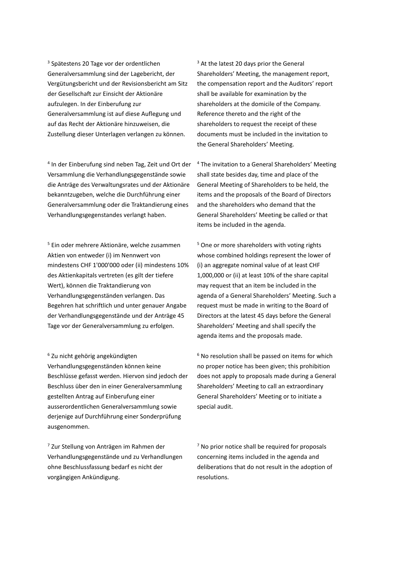3 Spätestens 20 Tage vor der ordentlichen Generalversammlung sind der Lagebericht, der Vergütungsbericht und der Revisionsbericht am Sitz der Gesellschaft zur Einsicht der Aktionäre aufzulegen. In der Einberufung zur Generalversammlung ist auf diese Auflegung und auf das Recht der Aktionäre hinzuweisen, die Zustellung dieser Unterlagen verlangen zu können.

4 In der Einberufung sind neben Tag, Zeit und Ort der Versammlung die Verhandlungsgegenstände sowie die Anträge des Verwaltungsrates und der Aktionäre bekanntzugeben, welche die Durchführung einer Generalversammlung oder die Traktandierung eines Verhandlungsgegenstandes verlangt haben.

<sup>5</sup> Ein oder mehrere Aktionäre, welche zusammen Aktien von entweder (i) im Nennwert von mindestens CHF 1'000'000 oder (ii) mindestens 10% des Aktienkapitals vertreten (es gilt der tiefere Wert), können die Traktandierung von Verhandlungsgegenständen verlangen. Das Begehren hat schriftlich und unter genauer Angabe der Verhandlungsgegenstände und der Anträge 45 Tage vor der Generalversammlung zu erfolgen.

<sup>6</sup> Zu nicht gehörig angekündigten Verhandlungsgegenständen können keine Beschlüsse gefasst werden. Hiervon sind jedoch der Beschluss über den in einer Generalversammlung gestellten Antrag auf Einberufung einer ausserordentlichen Generalversammlung sowie derjenige auf Durchführung einer Sonderprüfung ausgenommen.

<sup>7</sup> Zur Stellung von Anträgen im Rahmen der Verhandlungsgegenstände und zu Verhandlungen ohne Beschlussfassung bedarf es nicht der vorgängigen Ankündigung.

 $3$  At the latest 20 days prior the General Shareholders' Meeting, the management report, the compensation report and the Auditors' report shall be available for examination by the shareholders at the domicile of the Company. Reference thereto and the right of the shareholders to request the receipt of these documents must be included in the invitation to the General Shareholders' Meeting.

<sup>4</sup> The invitation to a General Shareholders' Meeting shall state besides day, time and place of the General Meeting of Shareholders to be held, the items and the proposals of the Board of Directors and the shareholders who demand that the General Shareholders' Meeting be called or that items be included in the agenda.

<sup>5</sup> One or more shareholders with voting rights whose combined holdings represent the lower of (i) an aggregate nominal value of at least CHF 1,000,000 or (ii) at least 10% of the share capital may request that an item be included in the agenda of a General Shareholders' Meeting. Such a request must be made in writing to the Board of Directors at the latest 45 days before the General Shareholders' Meeting and shall specify the agenda items and the proposals made.

 $6$  No resolution shall be passed on items for which no proper notice has been given; this prohibition does not apply to proposals made during a General Shareholders' Meeting to call an extraordinary General Shareholders' Meeting or to initiate a special audit.

 $<sup>7</sup>$  No prior notice shall be required for proposals</sup> concerning items included in the agenda and deliberations that do not result in the adoption of resolutions.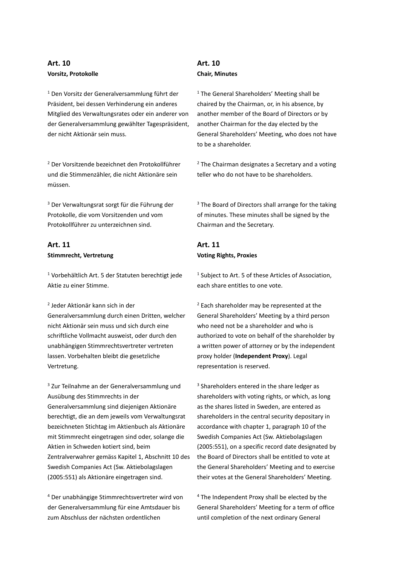#### **Art. 10 Vorsitz, Protokolle**

<sup>1</sup> Den Vorsitz der Generalversammlung führt der Präsident, bei dessen Verhinderung ein anderes Mitglied des Verwaltungsrates oder ein anderer von der Generalversammlung gewählter Tagespräsident, der nicht Aktionär sein muss.

<sup>2</sup> Der Vorsitzende bezeichnet den Protokollführer und die Stimmenzähler, die nicht Aktionäre sein müssen.

<sup>3</sup> Der Verwaltungsrat sorgt für die Führung der Protokolle, die vom Vorsitzenden und vom Protokollführer zu unterzeichnen sind.

#### **Art. 11 Stimmrecht, Vertretung**

<sup>1</sup> Vorbehältlich Art. 5 der Statuten berechtigt jede Aktie zu einer Stimme.

#### 2 Jeder Aktionär kann sich in der

Generalversammlung durch einen Dritten, welcher nicht Aktionär sein muss und sich durch eine schriftliche Vollmacht ausweist, oder durch den unabhängigen Stimmrechtsvertreter vertreten lassen. Vorbehalten bleibt die gesetzliche Vertretung.

<sup>3</sup> Zur Teilnahme an der Generalversammlung und Ausübung des Stimmrechts in der Generalversammlung sind diejenigen Aktionäre berechtigt, die an dem jeweils vom Verwaltungsrat bezeichneten Stichtag im Aktienbuch als Aktionäre mit Stimmrecht eingetragen sind oder, solange die Aktien in Schweden kotiert sind, beim Zentralverwahrer gemäss Kapitel 1, Abschnitt 10 des Swedish Companies Act (Sw. Aktiebolagslagen (2005:551) als Aktionäre eingetragen sind.

<sup>4</sup> Der unabhängige Stimmrechtsvertreter wird von der Generalversammlung für eine Amtsdauer bis zum Abschluss der nächsten ordentlichen

# **Art. 10 Chair, Minutes**

<sup>1</sup> The General Shareholders' Meeting shall be chaired by the Chairman, or, in his absence, by another member of the Board of Directors or by another Chairman for the day elected by the General Shareholders' Meeting, who does not have to be a shareholder.

<sup>2</sup> The Chairman designates a Secretary and a voting teller who do not have to be shareholders.

 $3$  The Board of Directors shall arrange for the taking of minutes. These minutes shall be signed by the Chairman and the Secretary.

#### **Art. 11 Voting Rights, Proxies**

<sup>1</sup> Subject to Art. 5 of these Articles of Association, each share entitles to one vote.

 $2$  Each shareholder may be represented at the General Shareholders' Meeting by a third person who need not be a shareholder and who is authorized to vote on behalf of the shareholder by a written power of attorney or by the independent proxy holder (**Independent Proxy**). Legal representation is reserved.

<sup>3</sup> Shareholders entered in the share ledger as shareholders with voting rights, or which, as long as the shares listed in Sweden, are entered as shareholders in the central security depositary in accordance with chapter 1, paragraph 10 of the Swedish Companies Act (Sw. Aktiebolagslagen (2005:551), on a specific record date designated by the Board of Directors shall be entitled to vote at the General Shareholders' Meeting and to exercise their votes at the General Shareholders' Meeting.

<sup>4</sup> The Independent Proxy shall be elected by the General Shareholders' Meeting for a term of office until completion of the next ordinary General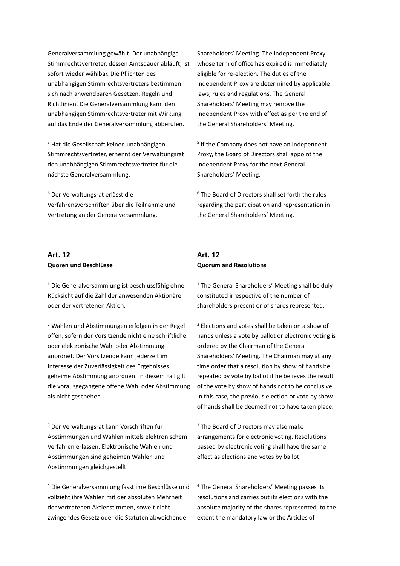Generalversammlung gewählt. Der unabhängige Stimmrechtsvertreter, dessen Amtsdauer abläuft, ist sofort wieder wählbar. Die Pflichten des unabhängigen Stimmrechtsvertreters bestimmen sich nach anwendbaren Gesetzen, Regeln und Richtlinien. Die Generalversammlung kann den unabhängigen Stimmrechtsvertreter mit Wirkung auf das Ende der Generalversammlung abberufen.

<sup>5</sup> Hat die Gesellschaft keinen unabhängigen Stimmrechtsvertreter, ernennt der Verwaltungsrat den unabhängigen Stimmrechtsvertreter für die nächste Generalversammlung.

<sup>6</sup> Der Verwaltungsrat erlässt die Verfahrensvorschriften über die Teilnahme und Vertretung an der Generalversammlung.

#### **Art. 12 Quoren und Beschlüsse**

<sup>1</sup> Die Generalversammlung ist beschlussfähig ohne Rücksicht auf die Zahl der anwesenden Aktionäre oder der vertretenen Aktien.

<sup>2</sup> Wahlen und Abstimmungen erfolgen in der Regel offen, sofern der Vorsitzende nicht eine schriftliche oder elektronische Wahl oder Abstimmung anordnet. Der Vorsitzende kann jederzeit im Interesse der Zuverlässigkeit des Ergebnisses geheime Abstimmung anordnen. In diesem Fall gilt die vorausgegangene offene Wahl oder Abstimmung als nicht geschehen.

<sup>3</sup> Der Verwaltungsrat kann Vorschriften für Abstimmungen und Wahlen mittels elektronischem Verfahren erlassen. Elektronische Wahlen und Abstimmungen sind geheimen Wahlen und Abstimmungen gleichgestellt.

<sup>4</sup> Die Generalversammlung fasst ihre Beschlüsse und vollzieht ihre Wahlen mit der absoluten Mehrheit der vertretenen Aktienstimmen, soweit nicht zwingendes Gesetz oder die Statuten abweichende

Shareholders' Meeting. The Independent Proxy whose term of office has expired is immediately eligible for re-election. The duties of the Independent Proxy are determined by applicable laws, rules and regulations. The General Shareholders' Meeting may remove the Independent Proxy with effect as per the end of the General Shareholders' Meeting.

5 If the Company does not have an Independent Proxy, the Board of Directors shall appoint the Independent Proxy for the next General Shareholders' Meeting.

<sup>6</sup> The Board of Directors shall set forth the rules regarding the participation and representation in the General Shareholders' Meeting.

#### **Art. 12 Quorum and Resolutions**

 $1$  The General Shareholders' Meeting shall be duly constituted irrespective of the number of shareholders present or of shares represented.

<sup>2</sup> Elections and votes shall be taken on a show of hands unless a vote by ballot or electronic voting is ordered by the Chairman of the General Shareholders' Meeting. The Chairman may at any time order that a resolution by show of hands be repeated by vote by ballot if he believes the result of the vote by show of hands not to be conclusive. In this case, the previous election or vote by show of hands shall be deemed not to have taken place.

<sup>3</sup> The Board of Directors may also make arrangements for electronic voting. Resolutions passed by electronic voting shall have the same effect as elections and votes by ballot.

<sup>4</sup> The General Shareholders' Meeting passes its resolutions and carries out its elections with the absolute majority of the shares represented, to the extent the mandatory law or the Articles of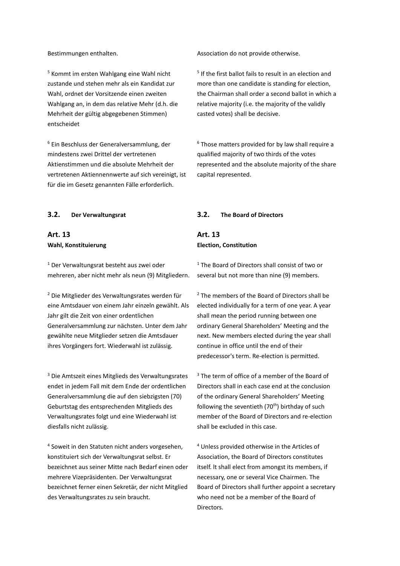<sup>5</sup> Kommt im ersten Wahlgang eine Wahl nicht zustande und stehen mehr als ein Kandidat zur Wahl, ordnet der Vorsitzende einen zweiten Wahlgang an, in dem das relative Mehr (d.h. die Mehrheit der gültig abgegebenen Stimmen) entscheidet

<sup>6</sup> Ein Beschluss der Generalversammlung, der mindestens zwei Drittel der vertretenen Aktienstimmen und die absolute Mehrheit der vertretenen Aktiennennwerte auf sich vereinigt, ist für die im Gesetz genannten Fälle erforderlich.

# **Art. 13 Wahl, Konstituierung**

<sup>1</sup> Der Verwaltungsrat besteht aus zwei oder mehreren, aber nicht mehr als neun (9) Mitgliedern.

<sup>2</sup> Die Mitglieder des Verwaltungsrates werden für eine Amtsdauer von einem Jahr einzeln gewählt. Als Jahr gilt die Zeit von einer ordentlichen Generalversammlung zur nächsten. Unter dem Jahr gewählte neue Mitglieder setzen die Amtsdauer ihres Vorgängers fort. Wiederwahl ist zulässig.

<sup>3</sup> Die Amtszeit eines Mitglieds des Verwaltungsrates endet in jedem Fall mit dem Ende der ordentlichen Generalversammlung die auf den siebzigsten (70) Geburtstag des entsprechenden Mitglieds des Verwaltungsrates folgt und eine Wiederwahl ist diesfalls nicht zulässig.

4 Soweit in den Statuten nicht anders vorgesehen, konstituiert sich der Verwaltungsrat selbst. Er bezeichnet aus seiner Mitte nach Bedarf einen oder mehrere Vizepräsidenten. Der Verwaltungsrat bezeichnet ferner einen Sekretär, der nicht Mitglied des Verwaltungsrates zu sein braucht.

Bestimmungen enthalten. Association do not provide otherwise.

5 If the first ballot fails to result in an election and more than one candidate is standing for election, the Chairman shall order a second ballot in which a relative majority (i.e. the majority of the validly casted votes) shall be decisive.

 $6$  Those matters provided for by law shall require a qualified majority of two thirds of the votes represented and the absolute majority of the share capital represented.

#### **3.2. Der Verwaltungsrat 3.2. The Board of Directors**

#### **Art. 13 Election, Constitution**

<sup>1</sup> The Board of Directors shall consist of two or several but not more than nine (9) members.

<sup>2</sup> The members of the Board of Directors shall be elected individually for a term of one year. A year shall mean the period running between one ordinary General Shareholders' Meeting and the next. New members elected during the year shall continue in office until the end of their predecessor's term. Re-election is permitted.

 $3$  The term of office of a member of the Board of Directors shall in each case end at the conclusion of the ordinary General Shareholders' Meeting following the seventieth  $(70<sup>th</sup>)$  birthday of such member of the Board of Directors and re-election shall be excluded in this case.

<sup>4</sup> Unless provided otherwise in the Articles of Association, the Board of Directors constitutes itself. lt shall elect from amongst its members, if necessary, one or several Vice Chairmen. The Board of Directors shall further appoint a secretary who need not be a member of the Board of Directors.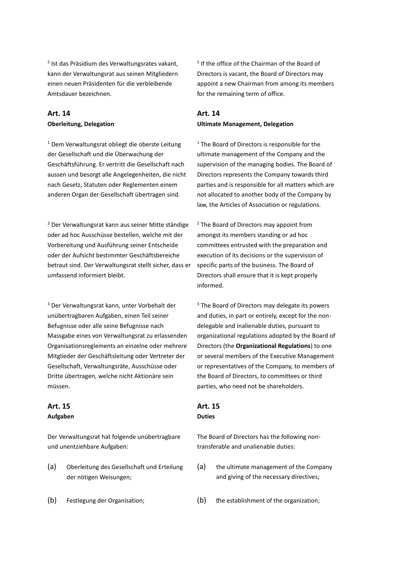5 Ist das Präsidium des Verwaltungsrates vakant, kann der Verwaltungsrat aus seinen Mitgliedern einen neuen Präsidenten für die verbleibende Amtsdauer bezeichnen.

# **Art. 14 Oberleitung, Delegation**

<sup>1</sup> Dem Verwaltungsrat obliegt die oberste Leitung der Gesellschaft und die Überwachung der Geschäftsführung. Er vertritt die Gesellschaft nach aussen und besorgt alle Angelegenheiten, die nicht nach Gesetz, Statuten oder Reglementen einem anderen Organ der Gesellschaft übertragen sind.

<sup>2</sup> Der Verwaltungsrat kann aus seiner Mitte ständige oder ad hoc Ausschüsse bestellen, welche mit der Vorbereitung und Ausführung seiner Entscheide oder der Aufsicht bestimmter Geschäftsbereiche betraut sind. Der Verwaltungsrat stellt sicher, dass er umfassend informiert bleibt.

<sup>3</sup> Der Verwaltungsrat kann, unter Vorbehalt der unübertragbaren Aufgaben, einen Teil seiner Befugnisse oder alle seine Befugnisse nach Massgabe eines von Verwaltungsrat zu erlassenden Organisationsreglements an einzelne oder mehrere Mitglieder der Geschäftsleitung oder Vertreter der Gesellschaft, Verwaltungsräte, Ausschüsse oder Dritte übertragen, welche nicht Aktionäre sein müssen.

#### **Art. 15 Aufgaben**

Der Verwaltungsrat hat folgende unübertragbare und unentziehbare Aufgaben:

- (a) Oberleitung des Gesellschaft und Erteilung der nötigen Weisungen;
- 

5 If the office of the Chairman of the Board of Directors is vacant, the Board of Directors may appoint a new Chairman from among its members for the remaining term of office.

#### **Art. 14 Ultimate Management, Delegation**

<sup>1</sup> The Board of Directors is responsible for the ultimate management of the Company and the supervision of the managing bodies. The Board of Directors represents the Company towards third parties and is responsible for all matters which are not allocated to another body of the Company by law, the Articles of Association or regulations.

<sup>2</sup> The Board of Directors may appoint from amongst its members standing or ad hoc committees entrusted with the preparation and execution of its decisions or the supervision of specific parts of the business. The Board of Directors shall ensure that it is kept properly informed.

<sup>3</sup> The Board of Directors may delegate its powers and duties, in part or entirely, except for the nondelegable and inalienable duties, pursuant to organizational regulations adopted by the Board of Directors (the **Organizational Regulations**) to one or several members of the Executive Management or representatives of the Company, to members of the Board of Directors, to committees or third parties, who need not be shareholders.

# **Art. 15**

#### **Duties**

The Board of Directors has the following nontransferable and unalienable duties:

- (a) the ultimate management of the Company and giving of the necessary directives;
- (b) Festlegung der Organisation; (b) the establishment of the organization;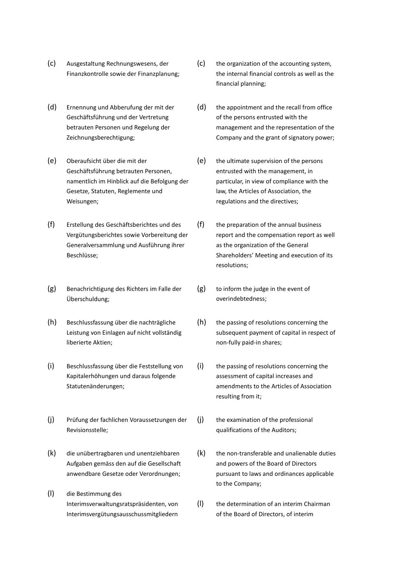- (c) Ausgestaltung Rechnungswesens, der Finanzkontrolle sowie der Finanzplanung;
- (d) Ernennung und Abberufung der mit der Geschäftsführung und der Vertretung betrauten Personen und Regelung der Zeichnungsberechtigung;
- (e) Oberaufsicht über die mit der Geschäftsführung betrauten Personen, namentlich im Hinblick auf die Befolgung der Gesetze, Statuten, Reglemente und Weisungen;
- (f) Erstellung des Geschäftsberichtes und des Vergütungsberichtes sowie Vorbereitung der Generalversammlung und Ausführung ihrer Beschlüsse;
- (g) Benachrichtigung des Richters im Falle der Überschuldung;
- (h) Beschlussfassung über die nachträgliche Leistung von Einlagen auf nicht vollständig liberierte Aktien;
- (i) Beschlussfassung über die Feststellung von Kapitalerhöhungen und daraus folgende Statutenänderungen;
- (j) Prüfung der fachlichen Voraussetzungen der Revisionsstelle;
- (k) die unübertragbaren und unentziehbaren Aufgaben gemäss den auf die Gesellschaft anwendbare Gesetze oder Verordnungen;
- (l) die Bestimmung des Interimsverwaltungsratspräsidenten, von Interimsvergütungsausschussmitgliedern
- (c) the organization of the accounting system, the internal financial controls as well as the financial planning;
- (d) the appointment and the recall from office of the persons entrusted with the management and the representation of the Company and the grant of signatory power;
- (e) the ultimate supervision of the persons entrusted with the management, in particular, in view of compliance with the law, the Articles of Association, the regulations and the directives;
- (f) the preparation of the annual business report and the compensation report as well as the organization of the General Shareholders' Meeting and execution of its resolutions;
- (g) to inform the judge in the event of overindebtedness;
- (h) the passing of resolutions concerning the subsequent payment of capital in respect of non-fully paid-in shares;
- (i) the passing of resolutions concerning the assessment of capital increases and amendments to the Articles of Association resulting from it;
- (j) the examination of the professional qualifications of the Auditors;
- $(k)$  the non-transferable and unalienable duties and powers of the Board of Directors pursuant to laws and ordinances applicable to the Company;
- (l) the determination of an interim Chairman of the Board of Directors, of interim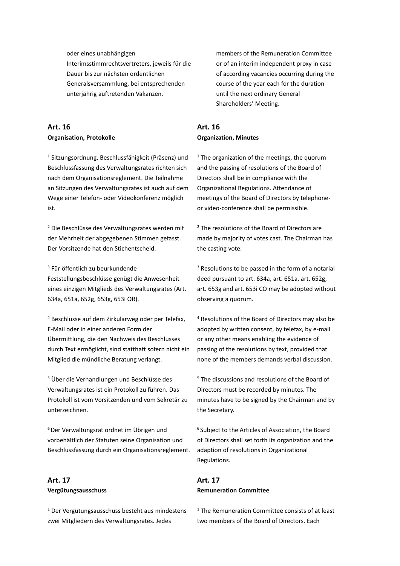oder eines unabhängigen Interimsstimmrechtsvertreters, jeweils für die Dauer bis zur nächsten ordentlichen Generalsversammlung, bei entsprechenden unterjährig auftretenden Vakanzen.

#### **Art. 16 Organisation, Protokolle**

<sup>1</sup> Sitzungsordnung, Beschlussfähigkeit (Präsenz) und Beschlussfassung des Verwaltungsrates richten sich nach dem Organisationsreglement. Die Teilnahme an Sitzungen des Verwaltungsrates ist auch auf dem Wege einer Telefon- oder Videokonferenz möglich ist.

<sup>2</sup> Die Beschlüsse des Verwaltungsrates werden mit der Mehrheit der abgegebenen Stimmen gefasst. Der Vorsitzende hat den Stichentscheid.

3 Für öffentlich zu beurkundende Feststellungsbeschlüsse genügt die Anwesenheit eines einzigen Mitglieds des Verwaltungsrates (Art. 634a, 651a, 652g, 653g, 653i OR).

<sup>4</sup> Beschlüsse auf dem Zirkularweg oder per Telefax, E-Mail oder in einer anderen Form der Übermittlung, die den Nachweis des Beschlusses durch Text ermöglicht, sind statthaft sofern nicht ein Mitglied die mündliche Beratung verlangt.

<sup>5</sup> Über die Verhandlungen und Beschlüsse des Verwaltungsrates ist ein Protokoll zu führen. Das Protokoll ist vom Vorsitzenden und vom Sekretär zu unterzeichnen.

<sup>6</sup> Der Verwaltungsrat ordnet im Übrigen und vorbehältlich der Statuten seine Organisation und Beschlussfassung durch ein Organisationsreglement.

# **Art. 17 Vergütungsausschuss**

<sup>1</sup> Der Vergütungsausschuss besteht aus mindestens zwei Mitgliedern des Verwaltungsrates. Jedes

members of the Remuneration Committee or of an interim independent proxy in case of according vacancies occurring during the course of the year each for the duration until the next ordinary General Shareholders' Meeting.

#### **Art. 16 Organization, Minutes**

 $1$ <sup>1</sup> The organization of the meetings, the quorum and the passing of resolutions of the Board of Directors shall be in compliance with the Organizational Regulations. Attendance of meetings of the Board of Directors by telephoneor video-conference shall be permissible.

<sup>2</sup> The resolutions of the Board of Directors are made by majority of votes cast. The Chairman has the casting vote.

 $3$  Resolutions to be passed in the form of a notarial deed pursuant to art. 634a, art. 651a, art. 652g, art. 653g and art. 653i CO may be adopted without observing a quorum.

<sup>4</sup> Resolutions of the Board of Directors may also be adopted by written consent, by telefax, by e-mail or any other means enabling the evidence of passing of the resolutions by text, provided that none of the members demands verbal discussion.

<sup>5</sup> The discussions and resolutions of the Board of Directors must be recorded by minutes. The minutes have to be signed by the Chairman and by the Secretary.

<sup>6</sup> Subject to the Articles of Association, the Board of Directors shall set forth its organization and the adaption of resolutions in Organizational Regulations.

#### **Art. 17 Remuneration Committee**

<sup>1</sup> The Remuneration Committee consists of at least two members of the Board of Directors. Each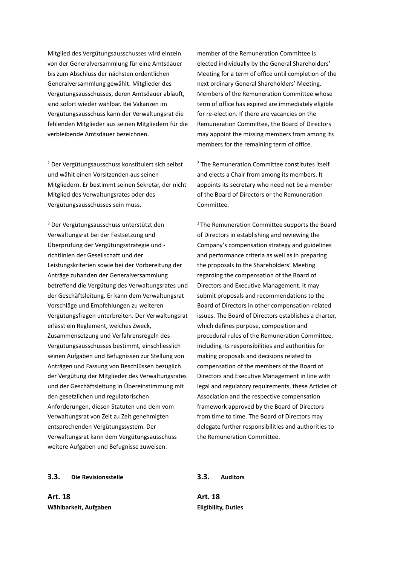Mitglied des Vergütungsausschusses wird einzeln von der Generalversammlung für eine Amtsdauer bis zum Abschluss der nächsten ordentlichen Generalversammlung gewählt. Mitglieder des Vergütungsausschusses, deren Amtsdauer abläuft, sind sofort wieder wählbar. Bei Vakanzen im Vergütungsausschuss kann der Verwaltungsrat die fehlenden Mitglieder aus seinen Mitgliedern für die verbleibende Amtsdauer bezeichnen.

<sup>2</sup> Der Vergütungsausschuss konstituiert sich selbst und wählt einen Vorsitzenden aus seinen Mitgliedern. Er bestimmt seinen Sekretär, der nicht Mitglied des Verwaltungsrates oder des Vergütungsausschusses sein muss.

<sup>3</sup> Der Vergütungsausschuss unterstützt den Verwaltungsrat bei der Festsetzung und Überprüfung der Vergütungsstrategie und richtlinien der Gesellschaft und der Leistungskriterien sowie bei der Vorbereitung der Anträge zuhanden der Generalversammlung betreffend die Vergütung des Verwaltungsrates und der Geschäftsleitung. Er kann dem Verwaltungsrat Vorschläge und Empfehlungen zu weiteren Vergütungsfragen unterbreiten. Der Verwaltungsrat erlässt ein Reglement, welches Zweck, Zusammensetzung und Verfahrensregeln des Vergütungsausschusses bestimmt, einschliesslich seinen Aufgaben und Befugnissen zur Stellung von Anträgen und Fassung von Beschlüssen bezüglich der Vergütung der Mitglieder des Verwaltungsrates und der Geschäftsleitung in Übereinstimmung mit den gesetzlichen und regulatorischen Anforderungen, diesen Statuten und dem vom Verwaltungsrat von Zeit zu Zeit genehmigten entsprechenden Vergütungssystem. Der Verwaltungsrat kann dem Vergütungsausschuss weitere Aufgaben und Befugnisse zuweisen.

member of the Remuneration Committee is elected individually by the General Shareholders' Meeting for a term of office until completion of the next ordinary General Shareholders' Meeting. Members of the Remuneration Committee whose term of office has expired are immediately eligible for re-election. If there are vacancies on the Remuneration Committee, the Board of Directors may appoint the missing members from among its members for the remaining term of office.

<sup>2</sup> The Remuneration Committee constitutes itself and elects a Chair from among its members. It appoints its secretary who need not be a member of the Board of Directors or the Remuneration Committee.

<sup>3</sup> The Remuneration Committee supports the Board of Directors in establishing and reviewing the Company's compensation strategy and guidelines and performance criteria as well as in preparing the proposals to the Shareholders' Meeting regarding the compensation of the Board of Directors and Executive Management. It may submit proposals and recommendations to the Board of Directors in other compensation-related issues. The Board of Directors establishes a charter, which defines purpose, composition and procedural rules of the Remuneration Committee, including its responsibilities and authorities for making proposals and decisions related to compensation of the members of the Board of Directors and Executive Management in line with legal and regulatory requirements, these Articles of Association and the respective compensation framework approved by the Board of Directors from time to time. The Board of Directors may delegate further responsibilities and authorities to the Remuneration Committee.

#### **3.3. Die Revisionsstelle 3.3. Auditors**

**Art. 18 Wählbarkeit, Aufgaben**

**Art. 18 Eligibility, Duties**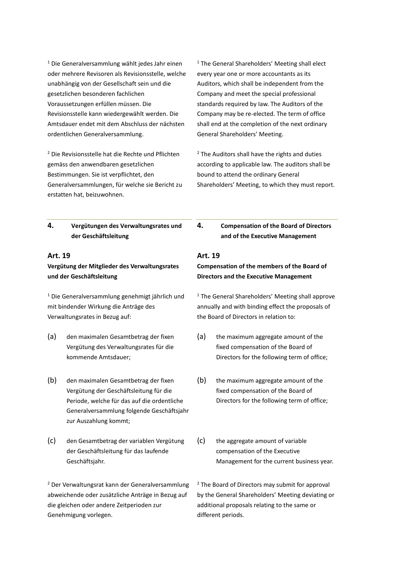<sup>1</sup> Die Generalversammlung wählt jedes Jahr einen oder mehrere Revisoren als Revisionsstelle, welche unabhängig von der Gesellschaft sein und die gesetzlichen besonderen fachlichen Voraussetzungen erfüllen müssen. Die Revisionsstelle kann wiedergewählt werden. Die Amtsdauer endet mit dem Abschluss der nächsten ordentlichen Generalversammlung.

<sup>2</sup> Die Revisionsstelle hat die Rechte und Pflichten gemäss den anwendbaren gesetzlichen Bestimmungen. Sie ist verpflichtet, den Generalversammlungen, für welche sie Bericht zu erstatten hat, beizuwohnen.

<sup>1</sup> The General Shareholders' Meeting shall elect every year one or more accountants as its Auditors, which shall be independent from the Company and meet the special professional standards required by Iaw. The Auditors of the Company may be re-elected. The term of office shall end at the completion of the next ordinary General Shareholders' Meeting.

<sup>2</sup> The Auditors shall have the rights and duties according to applicable law. The auditors shall be bound to attend the ordinary General Shareholders' Meeting, to which they must report.

#### **4. Vergütungen des Verwaltungsrates und der Geschäftsleitung**

#### **Art. 19**

#### <span id="page-32-0"></span>**Vergütung der Mitglieder des Verwaltungsrates und der Geschäftsleitung**

<sup>1</sup> Die Generalversammlung genehmigt jährlich und mit bindender Wirkung die Anträge des Verwaltungsrates in Bezug auf:

- (a) den maximalen Gesamtbetrag der fixen Vergütung des Verwaltungsrates für die kommende Amtsdauer;
- (b) den maximalen Gesamtbetrag der fixen Vergütung der Geschäftsleitung für die Periode, welche für das auf die ordentliche Generalversammlung folgende Geschäftsjahr zur Auszahlung kommt;
- (c) den Gesamtbetrag der variablen Vergütung der Geschäftsleitung für das laufende Geschäftsjahr.

<sup>2</sup> Der Verwaltungsrat kann der Generalversammlung abweichende oder zusätzliche Anträge in Bezug auf die gleichen oder andere Zeitperioden zur Genehmigung vorlegen.

**4. Compensation of the Board of Directors and of the Executive Management**

#### **Art. 19**

#### **Compensation of the members of the Board of Directors and the Executive Management**

 $1$  The General Shareholders' Meeting shall approve annually and with binding effect the proposals of the Board of Directors in relation to:

- (a) the maximum aggregate amount of the fixed compensation of the Board of Directors for the following term of office;
- (b) the maximum aggregate amount of the fixed compensation of the Board of Directors for the following term of office;
- (c) the aggregate amount of variable compensation of the Executive Management for the current business year.

<sup>2</sup> The Board of Directors may submit for approval by the General Shareholders' Meeting deviating or additional proposals relating to the same or different periods.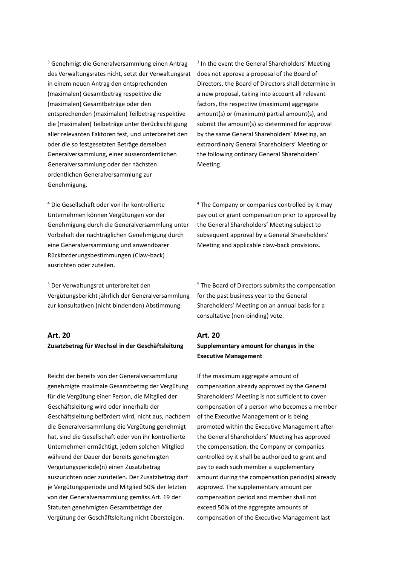<sup>3</sup> Genehmigt die Generalversammlung einen Antrag des Verwaltungsrates nicht, setzt der Verwaltungsrat in einem neuen Antrag den entsprechenden (maximalen) Gesamtbetrag respektive die (maximalen) Gesamtbeträge oder den entsprechenden (maximalen) Teilbetrag respektive die (maximalen) Teilbeträge unter Berücksichtigung aller relevanten Faktoren fest, und unterbreitet den oder die so festgesetzten Beträge derselben Generalversammlung, einer ausserordentlichen Generalversammlung oder der nächsten ordentlichen Generalversammlung zur Genehmigung.

<sup>4</sup> Die Gesellschaft oder von ihr kontrollierte Unternehmen können Vergütungen vor der Genehmigung durch die Generalversammlung unter Vorbehalt der nachträglichen Genehmigung durch eine Generalversammlung und anwendbarer Rückforderungsbestimmungen (Claw-back) ausrichten oder zuteilen.

<sup>5</sup> Der Verwaltungsrat unterbreitet den Vergütungsbericht jährlich der Generalversammlung zur konsultativen (nicht bindenden) Abstimmung.

#### **Art. 20 Zusatzbetrag für Wechsel in der Geschäftsleitung**

Reicht der bereits von der Generalversammlung genehmigte maximale Gesamtbetrag der Vergütung für die Vergütung einer Person, die Mitglied der Geschäftsleitung wird oder innerhalb der Geschäftsleitung befördert wird, nicht aus, nachdem die Generalversammlung die Vergütung genehmigt hat, sind die Gesellschaft oder von ihr kontrollierte Unternehmen ermächtigt, jedem solchen Mitglied während der Dauer der bereits genehmigten Vergütungsperiode(n) einen Zusatzbetrag auszurichten oder zuzuteilen. Der Zusatzbetrag darf je Vergütungsperiode und Mitglied 50% der letzten von der Generalversammlung gemäs[s Art. 19](#page-32-0) der Statuten genehmigten Gesamtbeträge der Vergütung der Geschäftsleitung nicht übersteigen.

<sup>3</sup> In the event the General Shareholders' Meeting does not approve a proposal of the Board of Directors, the Board of Directors shall determine in a new proposal, taking into account all relevant factors, the respective (maximum) aggregate amount(s) or (maximum) partial amount(s), and submit the amount(s) so determined for approval by the same General Shareholders' Meeting, an extraordinary General Shareholders' Meeting or the following ordinary General Shareholders' Meeting.

<sup>4</sup> The Company or companies controlled by it may pay out or grant compensation prior to approval by the General Shareholders' Meeting subject to subsequent approval by a General Shareholders' Meeting and applicable claw-back provisions.

<sup>5</sup> The Board of Directors submits the compensation for the past business year to the General Shareholders' Meeting on an annual basis for a consultative (non-binding) vote.

# **Art. 20 Supplementary amount for changes in the Executive Management**

If the maximum aggregate amount of compensation already approved by the General Shareholders' Meeting is not sufficient to cover compensation of a person who becomes a member of the Executive Management or is being promoted within the Executive Management after the General Shareholders' Meeting has approved the compensation, the Company or companies controlled by it shall be authorized to grant and pay to each such member a supplementary amount during the compensation period(s) already approved. The supplementary amount per compensation period and member shall not exceed 50% of the aggregate amounts of compensation of the Executive Management last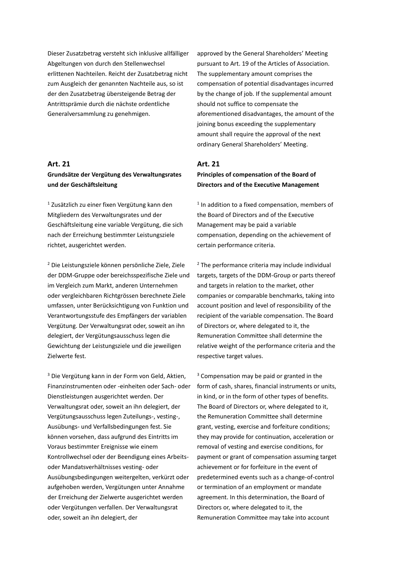Dieser Zusatzbetrag versteht sich inklusive allfälliger Abgeltungen von durch den Stellenwechsel erlittenen Nachteilen. Reicht der Zusatzbetrag nicht zum Ausgleich der genannten Nachteile aus, so ist der den Zusatzbetrag übersteigende Betrag der Antrittsprämie durch die nächste ordentliche Generalversammlung zu genehmigen.

#### **Art. 21**

#### **Grundsätze der Vergütung des Verwaltungsrates und der Geschäftsleitung**

<sup>1</sup> Zusätzlich zu einer fixen Vergütung kann den Mitgliedern des Verwaltungsrates und der Geschäftsleitung eine variable Vergütung, die sich nach der Erreichung bestimmter Leistungsziele richtet, ausgerichtet werden.

<sup>2</sup> Die Leistungsziele können persönliche Ziele, Ziele der DDM-Gruppe oder bereichsspezifische Ziele und im Vergleich zum Markt, anderen Unternehmen oder vergleichbaren Richtgrössen berechnete Ziele umfassen, unter Berücksichtigung von Funktion und Verantwortungsstufe des Empfängers der variablen Vergütung. Der Verwaltungsrat oder, soweit an ihn delegiert, der Vergütungsausschuss legen die Gewichtung der Leistungsziele und die jeweiligen Zielwerte fest.

<sup>3</sup> Die Vergütung kann in der Form von Geld, Aktien, Finanzinstrumenten oder -einheiten oder Sach- oder Dienstleistungen ausgerichtet werden. Der Verwaltungsrat oder, soweit an ihn delegiert, der Vergütungsausschuss legen Zuteilungs-, vesting-, Ausübungs- und Verfallsbedingungen fest. Sie können vorsehen, dass aufgrund des Eintritts im Voraus bestimmter Ereignisse wie einem Kontrollwechsel oder der Beendigung eines Arbeitsoder Mandatsverhältnisses vesting- oder Ausübungsbedingungen weitergelten, verkürzt oder aufgehoben werden, Vergütungen unter Annahme der Erreichung der Zielwerte ausgerichtet werden oder Vergütungen verfallen. Der Verwaltungsrat oder, soweit an ihn delegiert, der

approved by the General Shareholders' Meeting pursuant to [Art. 19](#page-32-0) of the Articles of Association. The supplementary amount comprises the compensation of potential disadvantages incurred by the change of job. If the supplemental amount should not suffice to compensate the aforementioned disadvantages, the amount of the joining bonus exceeding the supplementary amount shall require the approval of the next ordinary General Shareholders' Meeting.

#### **Art. 21 Principles of compensation of the Board of Directors and of the Executive Management**

<sup>1</sup> In addition to a fixed compensation, members of the Board of Directors and of the Executive Management may be paid a variable compensation, depending on the achievement of certain performance criteria.

 $2$  The performance criteria may include individual targets, targets of the DDM-Group or parts thereof and targets in relation to the market, other companies or comparable benchmarks, taking into account position and level of responsibility of the recipient of the variable compensation. The Board of Directors or, where delegated to it, the Remuneration Committee shall determine the relative weight of the performance criteria and the respective target values.

<sup>3</sup> Compensation may be paid or granted in the form of cash, shares, financial instruments or units, in kind, or in the form of other types of benefits. The Board of Directors or, where delegated to it, the Remuneration Committee shall determine grant, vesting, exercise and forfeiture conditions; they may provide for continuation, acceleration or removal of vesting and exercise conditions, for payment or grant of compensation assuming target achievement or for forfeiture in the event of predetermined events such as a change-of-control or termination of an employment or mandate agreement. In this determination, the Board of Directors or, where delegated to it, the Remuneration Committee may take into account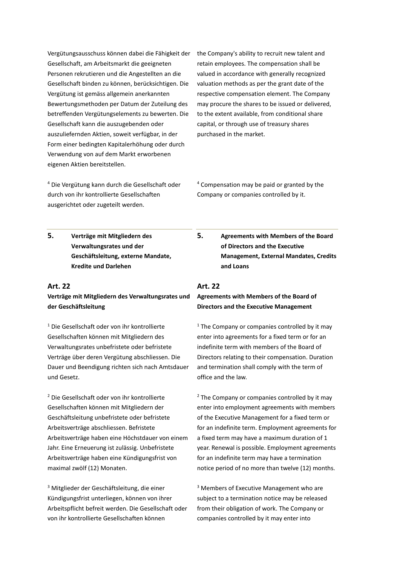Vergütungsausschuss können dabei die Fähigkeit der Gesellschaft, am Arbeitsmarkt die geeigneten Personen rekrutieren und die Angestellten an die Gesellschaft binden zu können, berücksichtigen. Die Vergütung ist gemäss allgemein anerkannten Bewertungsmethoden per Datum der Zuteilung des betreffenden Vergütungselements zu bewerten. Die Gesellschaft kann die auszugebenden oder auszuliefernden Aktien, soweit verfügbar, in der Form einer bedingten Kapitalerhöhung oder durch Verwendung von auf dem Markt erworbenen eigenen Aktien bereitstellen.

the Company's ability to recruit new talent and retain employees. The compensation shall be valued in accordance with generally recognized valuation methods as per the grant date of the respective compensation element. The Company may procure the shares to be issued or delivered, to the extent available, from conditional share capital, or through use of treasury shares purchased in the market.

<sup>4</sup> Compensation may be paid or granted by the

Company or companies controlled by it.

<sup>4</sup> Die Vergütung kann durch die Gesellschaft oder durch von ihr kontrollierte Gesellschaften ausgerichtet oder zugeteilt werden.

**5. Verträge mit Mitgliedern des Verwaltungsrates und der Geschäftsleitung, externe Mandate, Kredite und Darlehen** 

#### **Art. 22**

#### **Verträge mit Mitgliedern des Verwaltungsrates und der Geschäftsleitung**

<sup>1</sup> Die Gesellschaft oder von ihr kontrollierte Gesellschaften können mit Mitgliedern des Verwaltungsrates unbefristete oder befristete Verträge über deren Vergütung abschliessen. Die Dauer und Beendigung richten sich nach Amtsdauer und Gesetz.

<sup>2</sup> Die Gesellschaft oder von ihr kontrollierte Gesellschaften können mit Mitgliedern der Geschäftsleitung unbefristete oder befristete Arbeitsverträge abschliessen. Befristete Arbeitsverträge haben eine Höchstdauer von einem Jahr. Eine Erneuerung ist zulässig. Unbefristete Arbeitsverträge haben eine Kündigungsfrist von maximal zwölf (12) Monaten.

<sup>3</sup> Mitglieder der Geschäftsleitung, die einer Kündigungsfrist unterliegen, können von ihrer Arbeitspflicht befreit werden. Die Gesellschaft oder von ihr kontrollierte Gesellschaften können

**5. Agreements with Members of the Board of Directors and the Executive Management, External Mandates, Credits and Loans**

#### **Art. 22**

#### **Agreements with Members of the Board of Directors and the Executive Management**

 $1$  The Company or companies controlled by it may enter into agreements for a fixed term or for an indefinite term with members of the Board of Directors relating to their compensation. Duration and termination shall comply with the term of office and the law.

<sup>2</sup> The Company or companies controlled by it may enter into employment agreements with members of the Executive Management for a fixed term or for an indefinite term. Employment agreements for a fixed term may have a maximum duration of 1 year. Renewal is possible. Employment agreements for an indefinite term may have a termination notice period of no more than twelve (12) months.

<sup>3</sup> Members of Executive Management who are subject to a termination notice may be released from their obligation of work. The Company or companies controlled by it may enter into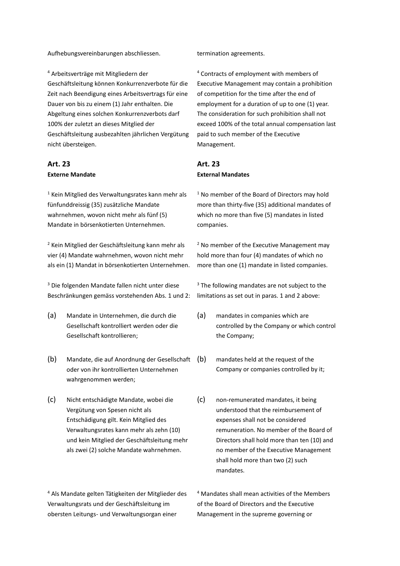Aufhebungsvereinbarungen abschliessen. termination agreements.

<sup>4</sup> Arbeitsverträge mit Mitgliedern der Geschäftsleitung können Konkurrenzverbote für die Zeit nach Beendigung eines Arbeitsvertrags für eine Dauer von bis zu einem (1) Jahr enthalten. Die Abgeltung eines solchen Konkurrenzverbots darf 100% der zuletzt an dieses Mitglied der Geschäftsleitung ausbezahlten jährlichen Vergütung nicht übersteigen.

#### **Art. 23 Externe Mandate**

<sup>1</sup> Kein Mitglied des Verwaltungsrates kann mehr als fünfunddreissig (35) zusätzliche Mandate wahrnehmen, wovon nicht mehr als fünf (5) Mandate in börsenkotierten Unternehmen.

<sup>2</sup> Kein Mitglied der Geschäftsleitung kann mehr als vier (4) Mandate wahrnehmen, wovon nicht mehr als ein (1) Mandat in börsenkotierten Unternehmen.

<sup>3</sup> Die folgenden Mandate fallen nicht unter diese Beschränkungen gemäss vorstehenden Abs. 1 und 2:

- (a) Mandate in Unternehmen, die durch die Gesellschaft kontrolliert werden oder die Gesellschaft kontrollieren;
- (b) Mandate, die auf Anordnung der Gesellschaft oder von ihr kontrollierten Unternehmen wahrgenommen werden;
- (c) Nicht entschädigte Mandate, wobei die Vergütung von Spesen nicht als Entschädigung gilt. Kein Mitglied des Verwaltungsrates kann mehr als zehn (10) und kein Mitglied der Geschäftsleitung mehr als zwei (2) solche Mandate wahrnehmen.

<sup>4</sup> Als Mandate gelten Tätigkeiten der Mitglieder des Verwaltungsrats und der Geschäftsleitung im obersten Leitungs- und Verwaltungsorgan einer

<sup>4</sup> Contracts of employment with members of Executive Management may contain a prohibition of competition for the time after the end of employment for a duration of up to one (1) year. The consideration for such prohibition shall not exceed 100% of the total annual compensation last paid to such member of the Executive Management.

#### **Art. 23 External Mandates**

<sup>1</sup> No member of the Board of Directors may hold more than thirty-five (35) additional mandates of which no more than five (5) mandates in listed companies.

<sup>2</sup> No member of the Executive Management may hold more than four (4) mandates of which no more than one (1) mandate in listed companies.

<sup>3</sup> The following mandates are not subject to the limitations as set out in paras. 1 and 2 above:

- (a) mandates in companies which are controlled by the Company or which control the Company;
- (b) mandates held at the request of the Company or companies controlled by it;
- (c) non-remunerated mandates, it being understood that the reimbursement of expenses shall not be considered remuneration. No member of the Board of Directors shall hold more than ten (10) and no member of the Executive Management shall hold more than two (2) such mandates.

<sup>4</sup> Mandates shall mean activities of the Members of the Board of Directors and the Executive Management in the supreme governing or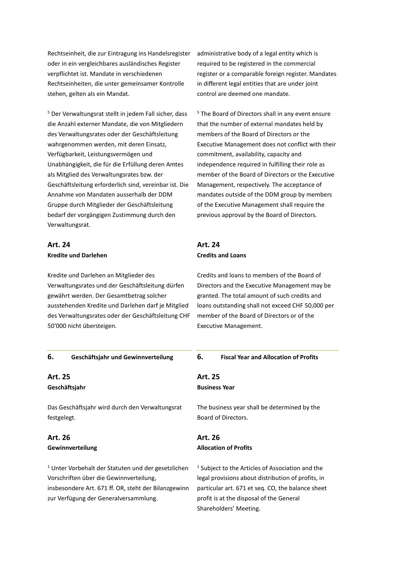Rechtseinheit, die zur Eintragung ins Handelsregister oder in ein vergleichbares ausländisches Register verpflichtet ist. Mandate in verschiedenen Rechtseinheiten, die unter gemeinsamer Kontrolle stehen, gelten als ein Mandat.

<sup>5</sup> Der Verwaltungsrat stellt in jedem Fall sicher, dass die Anzahl externer Mandate, die von Mitgliedern des Verwaltungsrates oder der Geschäftsleitung wahrgenommen werden, mit deren Einsatz, Verfügbarkeit, Leistungsvermögen und Unabhängigkeit, die für die Erfüllung deren Amtes als Mitglied des Verwaltungsrates bzw. der Geschäftsleitung erforderlich sind, vereinbar ist. Die Annahme von Mandaten ausserhalb der DDM Gruppe durch Mitglieder der Geschäftsleitung bedarf der vorgängigen Zustimmung durch den Verwaltungsrat.

#### **Art. 24 Kredite und Darlehen**

**Art. 24 Credits and Loans**

Kredite und Darlehen an Mitglieder des Verwaltungsrates und der Geschäftsleitung dürfen gewährt werden. Der Gesamtbetrag solcher ausstehenden Kredite und Darlehen darf je Mitglied des Verwaltungsrates oder der Geschäftsleitung CHF 50'000 nicht übersteigen.

Credits and loans to members of the Board of Directors and the Executive Management may be granted. The total amount of such credits and loans outstanding shall not exceed CHF 50,000 per member of the Board of Directors or of the Executive Management.

| 6.          | Geschäftsjahr und Gewinnverteilung                                                                                                                                                                         | 6.             | <b>Fiscal Year and Allocation of Profits</b>                                                                                                                                                                                                 |
|-------------|------------------------------------------------------------------------------------------------------------------------------------------------------------------------------------------------------------|----------------|----------------------------------------------------------------------------------------------------------------------------------------------------------------------------------------------------------------------------------------------|
| Art. 25     |                                                                                                                                                                                                            | <b>Art. 25</b> |                                                                                                                                                                                                                                              |
|             | Geschäftsjahr                                                                                                                                                                                              |                | <b>Business Year</b>                                                                                                                                                                                                                         |
| festgelegt. | Das Geschäftsjahr wird durch den Verwaltungsrat                                                                                                                                                            |                | The business year shall be determined by the<br>Board of Directors.                                                                                                                                                                          |
| Art. 26     | Gewinnverteilung                                                                                                                                                                                           | Art. 26        | <b>Allocation of Profits</b>                                                                                                                                                                                                                 |
|             | <sup>1</sup> Unter Vorbehalt der Statuten und der gesetzlichen<br>Vorschriften über die Gewinnverteilung,<br>insbesondere Art. 671 ff. OR, steht der Bilanzgewinn<br>zur Verfügung der Generalversammlung. |                | <sup>1</sup> Subject to the Articles of Association and the<br>legal provisions about distribution of profits, in<br>particular art. 671 et seq. CO, the balance sheet<br>profit is at the disposal of the General<br>Shareholders' Meeting. |

administrative body of a legal entity which is required to be registered in the commercial register or a comparable foreign register. Mandates in different legal entities that are under joint control are deemed one mandate.

<sup>5</sup> The Board of Directors shall in any event ensure that the number of external mandates held by members of the Board of Directors or the Executive Management does not conflict with their commitment, availability, capacity and independence required in fulfilling their role as member of the Board of Directors or the Executive Management, respectively. The acceptance of mandates outside of the DDM group by members of the Executive Management shall require the previous approval by the Board of Directors.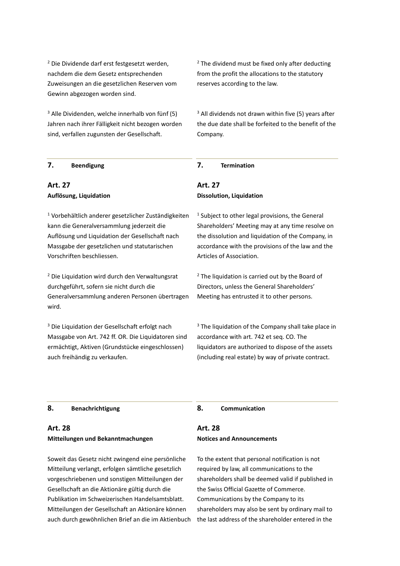<sup>2</sup> Die Dividende darf erst festgesetzt werden, nachdem die dem Gesetz entsprechenden Zuweisungen an die gesetzlichen Reserven vom Gewinn abgezogen worden sind.

 $3$  Alle Dividenden, welche innerhalb von fünf (5) Jahren nach ihrer Fälligkeit nicht bezogen worden sind, verfallen zugunsten der Gesellschaft.

 $2$  The dividend must be fixed only after deducting from the profit the allocations to the statutory reserves according to the law.

 $3$  All dividends not drawn within five (5) years after the due date shall be forfeited to the benefit of the Company.

#### **7. Beendigung 7. Termination**

#### **Art. 27 Auflösung, Liquidation**

<sup>1</sup> Vorbehältlich anderer gesetzlicher Zuständigkeiten kann die Generalversammlung jederzeit die Auflösung und Liquidation der Gesellschaft nach Massgabe der gesetzlichen und statutarischen Vorschriften beschliessen.

<sup>2</sup> Die Liquidation wird durch den Verwaltungsrat durchgeführt, sofern sie nicht durch die Generalversammlung anderen Personen übertragen wird.

<sup>3</sup> Die Liquidation der Gesellschaft erfolgt nach Massgabe von Art. 742 ff. OR. Die Liquidatoren sind ermächtigt, Aktiven (Grundstücke eingeschlossen) auch freihändig zu verkaufen.

# **Art. 27 Dissolution, Liquidation**

<sup>1</sup> Subject to other legal provisions, the General Shareholders' Meeting may at any time resolve on the dissolution and liquidation of the Company, in accordance with the provisions of the law and the Articles of Association.

 $2$  The liquidation is carried out by the Board of Directors, unless the General Shareholders' Meeting has entrusted it to other persons.

<sup>3</sup> The liquidation of the Company shall take place in accordance with art. 742 et seq. CO. The liquidators are authorized to dispose of the assets (including real estate) by way of private contract.

#### **8. Benachrichtigung 8. Communication**

#### **Art. 28 Mitteilungen und Bekanntmachungen**

Soweit das Gesetz nicht zwingend eine persönliche Mitteilung verlangt, erfolgen sämtliche gesetzlich vorgeschriebenen und sonstigen Mitteilungen der Gesellschaft an die Aktionäre gültig durch die Publikation im Schweizerischen Handelsamtsblatt. Mitteilungen der Gesellschaft an Aktionäre können auch durch gewöhnlichen Brief an die im Aktienbuch

#### **Art. 28 Notices and Announcements**

To the extent that personal notification is not required by law, all communications to the shareholders shall be deemed valid if published in the Swiss Official Gazette of Commerce. Communications by the Company to its shareholders may also be sent by ordinary mail to the last address of the shareholder entered in the